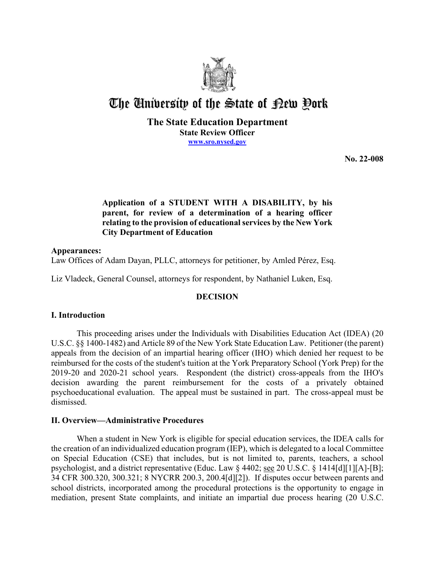

# The University of the State of Pew Pork

**The State Education Department State Review Officer [www.sro.nysed.gov](http://www.sro.nysed.gov/)** 

**No. 22-008** 

# **Application of a STUDENT WITH A DISABILITY, by his parent, for review of a determination of a hearing officer relating to the provision of educational services by the New York City Department of Education**

# **Appearances:**

Law Offices of Adam Dayan, PLLC, attorneys for petitioner, by Amled Pérez, Esq.

Liz Vladeck, General Counsel, attorneys for respondent, by Nathaniel Luken, Esq.

# **DECISION**

# **I. Introduction**

This proceeding arises under the Individuals with Disabilities Education Act (IDEA) (20 U.S.C. §§ 1400-1482) and Article 89 of the New York State Education Law. Petitioner (the parent) appeals from the decision of an impartial hearing officer (IHO) which denied her request to be reimbursed for the costs of the student's tuition at the York Preparatory School (York Prep) for the 2019-20 and 2020-21 school years. Respondent (the district) cross-appeals from the IHO's decision awarding the parent reimbursement for the costs of a privately obtained psychoeducational evaluation. The appeal must be sustained in part. The cross-appeal must be dismissed.

# **II. Overview—Administrative Procedures**

 the creation of an individualized education program (IEP), which is delegated to a local Committee on Special Education (CSE) that includes, but is not limited to, parents, teachers, a school When a student in New York is eligible for special education services, the IDEA calls for psychologist, and a district representative (Educ. Law § 4402; see 20 U.S.C. § 1414[d][1][A]-[B]; 34 CFR 300.320, 300.321; 8 NYCRR 200.3, 200.4[d][2]). If disputes occur between parents and school districts, incorporated among the procedural protections is the opportunity to engage in mediation, present State complaints, and initiate an impartial due process hearing (20 U.S.C.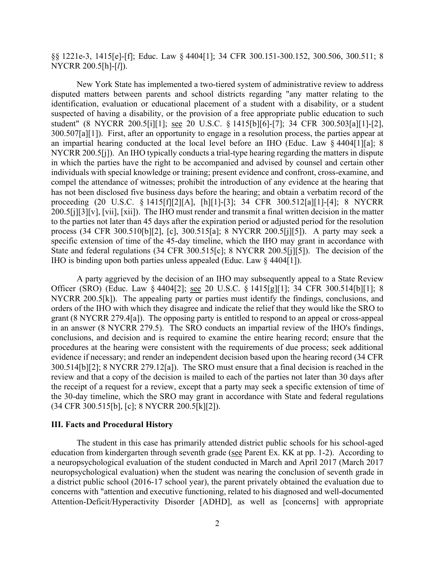§§ 1221e-3, 1415[e]-[f]; Educ. Law § 4404[1]; 34 CFR 300.151-300.152, 300.506, 300.511; 8 NYCRR 200.5[h]-[*l*]).

 disputed matters between parents and school districts regarding "any matter relating to the 300.507[a][1]). First, after an opportunity to engage in a resolution process, the parties appear at NYCRR 200.5[j]). An IHO typically conducts a trial-type hearing regarding the matters in dispute process (34 CFR 300.510[b][2], [c], 300.515[a]; 8 NYCRR 200.5[j][5]). A party may seek a IHO is binding upon both parties unless appealed (Educ. Law § 4404[1]). New York State has implemented a two-tiered system of administrative review to address identification, evaluation or educational placement of a student with a disability, or a student suspected of having a disability, or the provision of a free appropriate public education to such student" (8 NYCRR 200.5[i][1]; see 20 U.S.C. § 1415[b][6]-[7]; 34 CFR 300.503[a][1]-[2], an impartial hearing conducted at the local level before an IHO (Educ. Law § 4404[1][a]; 8 in which the parties have the right to be accompanied and advised by counsel and certain other individuals with special knowledge or training; present evidence and confront, cross-examine, and compel the attendance of witnesses; prohibit the introduction of any evidence at the hearing that has not been disclosed five business days before the hearing; and obtain a verbatim record of the proceeding (20 U.S.C. § 1415[f][2][A], [h][1]-[3]; 34 CFR 300.512[a][1]-[4]; 8 NYCRR 200.5[j][3][v], [vii], [xii]). The IHO must render and transmit a final written decision in the matter to the parties not later than 45 days after the expiration period or adjusted period for the resolution specific extension of time of the 45-day timeline, which the IHO may grant in accordance with State and federal regulations (34 CFR 300.515[c]; 8 NYCRR 200.5[j][5]). The decision of the

Officer (SRO) (Educ. Law § 4404[2]; <u>see</u> 20 U.S.C. § 1415[g][1]; 34 CFR 300.514[b][1]; 8 NYCRR 200.5[k]). The appealing party or parties must identify the findings, conclusions, and 300.514[b][2]; 8 NYCRR 279.12[a]). The SRO must ensure that a final decision is reached in the review and that a copy of the decision is mailed to each of the parties not later than 30 days after A party aggrieved by the decision of an IHO may subsequently appeal to a State Review orders of the IHO with which they disagree and indicate the relief that they would like the SRO to grant (8 NYCRR 279.4[a]). The opposing party is entitled to respond to an appeal or cross-appeal in an answer (8 NYCRR 279.5). The SRO conducts an impartial review of the IHO's findings, conclusions, and decision and is required to examine the entire hearing record; ensure that the procedures at the hearing were consistent with the requirements of due process; seek additional evidence if necessary; and render an independent decision based upon the hearing record (34 CFR the receipt of a request for a review, except that a party may seek a specific extension of time of the 30-day timeline, which the SRO may grant in accordance with State and federal regulations (34 CFR 300.515[b], [c]; 8 NYCRR 200.5[k][2]).

## **III. Facts and Procedural History**

education from kindergarten through seventh grade (see Parent Ex. KK at pp. 1-2). According to a neuropsychological evaluation of the student conducted in March and April 2017 (March 2017 The student in this case has primarily attended district public schools for his school-aged neuropsychological evaluation) when the student was nearing the conclusion of seventh grade in a district public school (2016-17 school year), the parent privately obtained the evaluation due to concerns with "attention and executive functioning, related to his diagnosed and well-documented Attention-Deficit/Hyperactivity Disorder [ADHD], as well as [concerns] with appropriate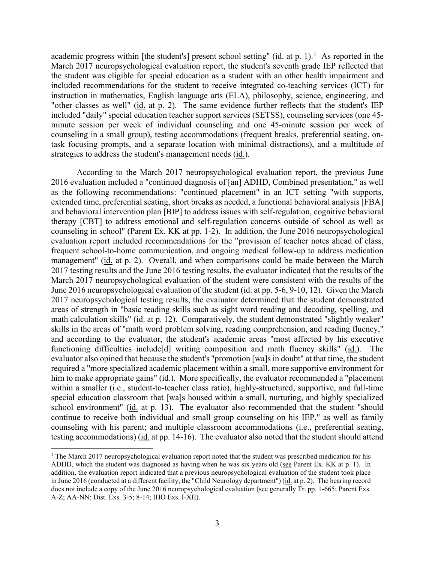academic progress within [the student's] present school setting"  $(id$  at p. 1).<sup>1</sup> As reported in the March 2017 neuropsychological evaluation report, the student's seventh grade IEP reflected that the student was eligible for special education as a student with an other health impairment and included recommendations for the student to receive integrated co-teaching services (ICT) for instruction in mathematics, English language arts (ELA), philosophy, science, engineering, and "other classes as well" (id. at p. 2). The same evidence further reflects that the student's IEP included "daily" special education teacher support services (SETSS), counseling services (one 45 minute session per week of individual counseling and one 45-minute session per week of counseling in a small group), testing accommodations (frequent breaks, preferential seating, ontask focusing prompts, and a separate location with minimal distractions), and a multitude of strategies to address the student's management needs (id.).

June 2016 neuropsychological evaluation of the student (*id.* at pp. 5-6, 9-10, 12). Given the March functioning difficulties include[d] writing composition and math fluency skills" (id.). The him to make appropriate gains" (id.). More specifically, the evaluator recommended a "placement continue to receive both individual and small group counseling on his IEP," as well as family testing accommodations) (id. at pp. 14-16). The evaluator also noted that the student should attend According to the March 2017 neuropsychological evaluation report, the previous June 2016 evaluation included a "continued diagnosis of [an] ADHD, Combined presentation," as well as the following recommendations: "continued placement" in an ICT setting "with supports, extended time, preferential seating, short breaks as needed, a functional behavioral analysis [FBA] and behavioral intervention plan [BIP] to address issues with self-regulation, cognitive behavioral therapy [CBT] to address emotional and self-regulation concerns outside of school as well as counseling in school" (Parent Ex. KK at pp. 1-2). In addition, the June 2016 neuropsychological evaluation report included recommendations for the "provision of teacher notes ahead of class, frequent school-to-home communication, and ongoing medical follow-up to address medication management" (id. at p. 2). Overall, and when comparisons could be made between the March 2017 testing results and the June 2016 testing results, the evaluator indicated that the results of the March 2017 neuropsychological evaluation of the student were consistent with the results of the 2017 neuropsychological testing results, the evaluator determined that the student demonstrated areas of strength in "basic reading skills such as sight word reading and decoding, spelling, and math calculation skills" (id. at p. 12). Comparatively, the student demonstrated "slightly weaker" skills in the areas of "math word problem solving, reading comprehension, and reading fluency," and according to the evaluator, the student's academic areas "most affected by his executive evaluator also opined that because the student's "promotion [wa]s in doubt" at that time, the student required a "more specialized academic placement within a small, more supportive environment for within a smaller (i.e., student-to-teacher class ratio), highly-structured, supportive, and full-time special education classroom that [wa]s housed within a small, nurturing, and highly specialized school environment" (id. at p. 13). The evaluator also recommended that the student "should counseling with his parent; and multiple classroom accommodations (i.e., preferential seating,

<span id="page-2-0"></span> $1$  The March 2017 neuropsychological evaluation report noted that the student was prescribed medication for his ADHD, which the student was diagnosed as having when he was six years old (see Parent Ex. KK at p. 1). In addition, the evaluation report indicated that a previous neuropsychological evaluation of the student took place in June 2016 (conducted at a different facility, the "Child Neurology department") (id. at p. 2). The hearing record does not include a copy of the June 2016 neuropsychological evaluation (see generally Tr. pp. 1-665; Parent Exs. A-Z; AA-NN; Dist. Exs. 3-5; 8-14; IHO Exs. I-XII).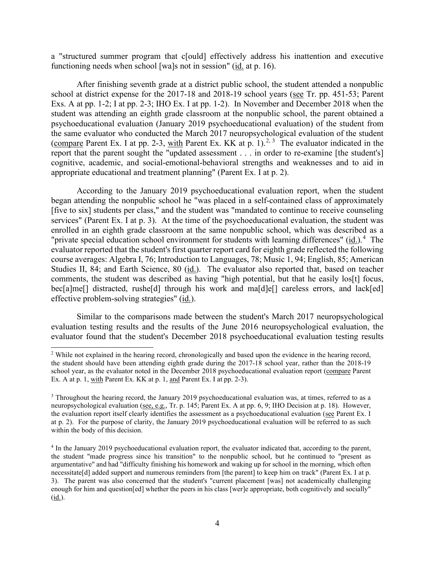functioning needs when school [wa]s not in session" (id. at p. 16). a "structured summer program that c[ould] effectively address his inattention and executive

school at district expense for the 2017-18 and 2018-19 school years (see Tr. pp. 451-53; Parent Exs. A at pp. 1-2; I at pp. 2-3; IHO Ex. I at pp. 1-2). In November and December 2018 when the (compare Parent Ex. I at pp. 2-3, with Parent Ex. KK at p. 1).<sup>[2,](#page-3-0) [3](#page-3-1)</sup> The evaluator indicated in the After finishing seventh grade at a district public school, the student attended a nonpublic student was attending an eighth grade classroom at the nonpublic school, the parent obtained a psychoeducational evaluation (January 2019 psychoeducational evaluation) of the student from the same evaluator who conducted the March 2017 neuropsychological evaluation of the student report that the parent sought the "updated assessment . . . in order to re-examine [the student's] cognitive, academic, and social-emotional-behavioral strengths and weaknesses and to aid in appropriate educational and treatment planning" (Parent Ex. I at p. 2).

"private special education school environment for students with learning differences" (id.).<sup>4</sup> The evaluator reported that the student's first quarter report card for eighth grade reflected the following course averages: Algebra I, 76; Introduction to Languages, 78; Music 1, 94; English, 85; American Studies II, 84; and Earth Science, 80 (id.). The evaluator also reported that, based on teacher According to the January 2019 psychoeducational evaluation report, when the student began attending the nonpublic school he "was placed in a self-contained class of approximately [five to six] students per class," and the student was "mandated to continue to receive counseling services" (Parent Ex. I at p. 3). At the time of the psychoeducational evaluation, the student was enrolled in an eighth grade classroom at the same nonpublic school, which was described as a comments, the student was described as having "high potential, but that he easily los[t] focus, bec[a]me[] distracted, rushe[d] through his work and ma[d]e[] careless errors, and lack[ed] effective problem-solving strategies" (id.).

Similar to the comparisons made between the student's March 2017 neuropsychological evaluation testing results and the results of the June 2016 neuropsychological evaluation, the evaluator found that the student's December 2018 psychoeducational evaluation testing results

<span id="page-3-0"></span> the student should have been attending eighth grade during the 2017-18 school year, rather than the 2018-19 Ex. A at p. 1, with Parent Ex. KK at p. 1, and Parent Ex. I at pp. 2-3). <sup>2</sup> While not explained in the hearing record, chronologically and based upon the evidence in the hearing record, school year, as the evaluator noted in the December 2018 psychoeducational evaluation report (compare Parent

<span id="page-3-1"></span><sup>&</sup>lt;sup>3</sup> Throughout the hearing record, the January 2019 psychoeducational evaluation was, at times, referred to as a neuropsychological evaluation (see, e.g., Tr. p. 145; Parent Ex. A at pp. 6, 9; IHO Decision at p. 18). However, the evaluation report itself clearly identifies the assessment as a psychoeducational evaluation (see Parent Ex. I at p. 2). For the purpose of clarity, the January 2019 psychoeducational evaluation will be referred to as such within the body of this decision.

<span id="page-3-2"></span> 4 In the January 2019 psychoeducational evaluation report, the evaluator indicated that, according to the parent, the student "made progress since his transition" to the nonpublic school, but he continued to "present as 3). The parent was also concerned that the student's "current placement [was] not academically challenging argumentative" and had "difficulty finishing his homework and waking up for school in the morning, which often necessitate[d] added support and numerous reminders from [the parent] to keep him on track" (Parent Ex. I at p. enough for him and question[ed] whether the peers in his class [wer]e appropriate, both cognitively and socially" (id.).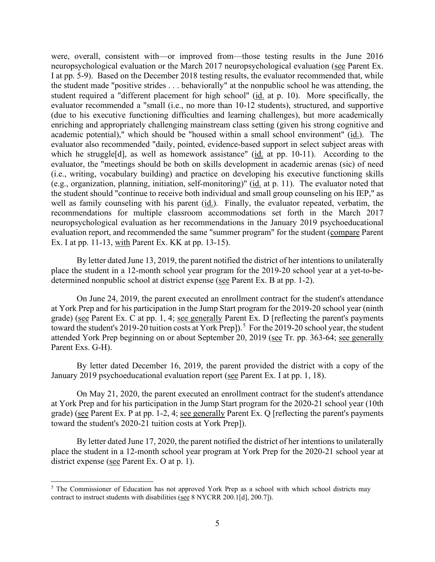I at pp. 5-9). Based on the December 2018 testing results, the evaluator recommended that, while student required a "different placement for high school" (id. at p. 10). More specifically, the academic potential)," which should be "housed within a small school environment" (id.). The evaluator also recommended "daily, pointed, evidence-based support in select subject areas with well as family counseling with his parent (*id.*). Finally, the evaluator repeated, verbatim, the evaluation report, and recommended the same "summer program" for the student (compare Parent were, overall, consistent with—or improved from—those testing results in the June 2016 neuropsychological evaluation or the March 2017 neuropsychological evaluation (see Parent Ex. the student made "positive strides . . . behaviorally" at the nonpublic school he was attending, the evaluator recommended a "small (i.e., no more than 10-12 students), structured, and supportive (due to his executive functioning difficulties and learning challenges), but more academically enriching and appropriately challenging mainstream class setting (given his strong cognitive and which he struggle[d], as well as homework assistance" (id. at pp. 10-11). According to the evaluator, the "meetings should be both on skills development in academic arenas (sic) of need (i.e., writing, vocabulary building) and practice on developing his executive functioning skills (e.g., organization, planning, initiation, self-monitoring)" (id. at p. 11). The evaluator noted that the student should "continue to receive both individual and small group counseling on his IEP," as recommendations for multiple classroom accommodations set forth in the March 2017 neuropsychological evaluation as her recommendations in the January 2019 psychoeducational Ex. I at pp. 11-13, with Parent Ex. KK at pp. 13-15).

 place the student in a 12-month school year program for the 2019-20 school year at a yet-to-be-By letter dated June 13, 2019, the parent notified the district of her intentions to unilaterally determined nonpublic school at district expense (see Parent Ex. B at pp. 1-2).

toward the student's 2019-20 tuition costs at York Prep]).<sup>[5](#page-4-0)</sup> For the 2019-20 school year, the student On June 24, 2019, the parent executed an enrollment contract for the student's attendance at York Prep and for his participation in the Jump Start program for the 2019-20 school year (ninth grade) (see Parent Ex. C at pp. 1, 4; see generally Parent Ex. D [reflecting the parent's payments attended York Prep beginning on or about September 20, 2019 (see Tr. pp. 363-64; see generally Parent Exs. G-H).

By letter dated December 16, 2019, the parent provided the district with a copy of the January 2019 psychoeducational evaluation report (see Parent Ex. I at pp. 1, 18).

grade) (see Parent Ex. P at pp. 1-2, 4; see generally Parent Ex. Q [reflecting the parent's payments On May 21, 2020, the parent executed an enrollment contract for the student's attendance at York Prep and for his participation in the Jump Start program for the 2020-21 school year (10th toward the student's 2020-21 tuition costs at York Prep]).

 place the student in a 12-month school year program at York Prep for the 2020-21 school year at By letter dated June 17, 2020, the parent notified the district of her intentions to unilaterally district expense (see Parent Ex. O at p. 1).

<span id="page-4-0"></span><sup>&</sup>lt;sup>5</sup> The Commissioner of Education has not approved York Prep as a school with which school districts may contract to instruct students with disabilities ( $\frac{\text{see } 8 \text{ NYCRR } 200.1[\text{d}]$ , 200.7]).<br>5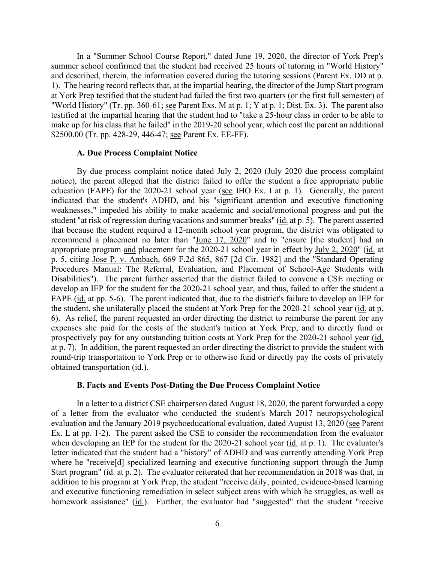"World History" (Tr. pp. 360-61; <u>see</u> Parent Exs. M at p. 1; Y at p. 1; Dist. Ex. 3). The parent also make up for his class that he failed" in the 2019-20 school year, which cost the parent an additional In a "Summer School Course Report," dated June 19, 2020, the director of York Prep's summer school confirmed that the student had received 25 hours of tutoring in "World History" and described, therein, the information covered during the tutoring sessions (Parent Ex. DD at p. 1). The hearing record reflects that, at the impartial hearing, the director of the Jump Start program at York Prep testified that the student had failed the first two quarters (or the first full semester) of testified at the impartial hearing that the student had to "take a 25-hour class in order to be able to \$2500.00 (Tr. pp. 428-29, 446-47; see Parent Ex. EE-FF).

#### **A. Due Process Complaint Notice**

 notice), the parent alleged that the district failed to offer the student a free appropriate public appropriate program and placement for the 2020-21 school year in effect by July 2, 2020" (id. at develop an IEP for the student for the 2020-21 school year, and thus, failed to offer the student a FAPE (*id.* at pp. 5-6). The parent indicated that, due to the district's failure to develop an IEP for 6). As relief, the parent requested an order directing the district to reimburse the parent for any at p. 7). In addition, the parent requested an order directing the district to provide the student with obtained transportation (id.). By due process complaint notice dated July 2, 2020 (July 2020 due process complaint education (FAPE) for the 2020-21 school year (see IHO Ex. I at p. 1). Generally, the parent indicated that the student's ADHD, and his "significant attention and executive functioning weaknesses," impeded his ability to make academic and social/emotional progress and put the student "at risk of regression during vacations and summer breaks" (id. at p. 5). The parent asserted that because the student required a 12-month school year program, the district was obligated to recommend a placement no later than "June 17, 2020" and to "ensure [the student] had an p. 5, citing Jose P. v. Ambach, 669 F.2d 865, 867 [2d Cir. 1982] and the "Standard Operating Procedures Manual: The Referral, Evaluation, and Placement of School-Age Students with Disabilities"). The parent further asserted that the district failed to convene a CSE meeting or the student, she unilaterally placed the student at York Prep for the 2020-21 school year (id. at p. expenses she paid for the costs of the student's tuition at York Prep, and to directly fund or prospectively pay for any outstanding tuition costs at York Prep for the 2020-21 school year (id. round-trip transportation to York Prep or to otherwise fund or directly pay the costs of privately

#### **B. Facts and Events Post-Dating the Due Process Complaint Notice**

 letter indicated that the student had a "history" of ADHD and was currently attending York Prep Start program" (id. at p. 2). The evaluator reiterated that her recommendation in 2018 was that, in In a letter to a district CSE chairperson dated August 18, 2020, the parent forwarded a copy of a letter from the evaluator who conducted the student's March 2017 neuropsychological evaluation and the January 2019 psychoeducational evaluation, dated August 13, 2020 (see Parent Ex. L at pp. 1-2). The parent asked the CSE to consider the recommendation from the evaluator when developing an IEP for the student for the 2020-21 school year (id. at p. 1). The evaluator's where he "receive<sup>[d]</sup> specialized learning and executive functioning support through the Jump addition to his program at York Prep, the student "receive daily, pointed, evidence-based learning and executive functioning remediation in select subject areas with which he struggles, as well as homework assistance" (id.). Further, the evaluator had "suggested" that the student "receive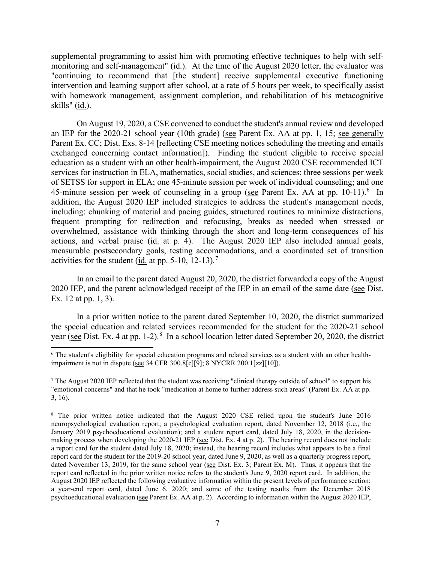monitoring and self-management" (id.). At the time of the August 2020 letter, the evaluator was "continuing to recommend that [the student] receive supplemental executive functioning intervention and learning support after school, at a rate of 5 hours per week, to specifically assist skills" (id.). supplemental programming to assist him with promoting effective techniques to help with selfwith homework management, assignment completion, and rehabilitation of his metacognitive

an IEP for the 2020-21 school year (10th grade) (see Parent Ex. AA at pp. 1, 15; see generally Parent Ex. CC; Dist. Exs. 8-14 [reflecting CSE meeting notices scheduling the meeting and emails exchanged concerning contact information]). Finding the student eligible to receive special 45-minute session per week of counseling in a group (see Parent Ex. AA at pp. 10-11).<sup>[6](#page-6-0)</sup> In On August 19, 2020, a CSE convened to conduct the student's annual review and developed education as a student with an other health-impairment, the August 2020 CSE recommended ICT services for instruction in ELA, mathematics, social studies, and sciences; three sessions per week of SETSS for support in ELA; one 45-minute session per week of individual counseling; and one addition, the August 2020 IEP included strategies to address the student's management needs, including: chunking of material and pacing guides, structured routines to minimize distractions, frequent prompting for redirection and refocusing, breaks as needed when stressed or overwhelmed, assistance with thinking through the short and long-term consequences of his actions, and verbal praise (id. at p. 4). The August 2020 IEP also included annual goals, measurable postsecondary goals, testing accommodations, and a coordinated set of transition activities for the student (id. at pp.  $5-10$ ,  $12-13$ ).<sup>[7](#page-6-1)</sup>

In an email to the parent dated August 20, 2020, the district forwarded a copy of the August 2020 IEP, and the parent acknowledged receipt of the IEP in an email of the same date (see Dist. Ex. 12 at pp. 1, 3).

year (see Dist. Ex. 4 at pp. 1-2).<sup>8</sup> In a school location letter dated September 20, 2020, the district In a prior written notice to the parent dated September 10, 2020, the district summarized the special education and related services recommended for the student for the 2020-21 school

<span id="page-6-0"></span><sup>6</sup> The student's eligibility for special education programs and related services as a student with an other healthimpairment is not in dispute (see 34 CFR 300.8[c][9]; 8 NYCRR 200.1[zz][10]).

<span id="page-6-1"></span> $<sup>7</sup>$  The August 2020 IEP reflected that the student was receiving "clinical therapy outside of school" to support his</sup> "emotional concerns" and that he took "medication at home to further address such areas" (Parent Ex. AA at pp. 3, 16).

<span id="page-6-2"></span><sup>&</sup>lt;sup>8</sup> The prior written notice indicated that the August 2020 CSE relied upon the student's June 2016 making process when developing the 2020-21 IEP (see Dist. Ex. 4 at p. 2). The hearing record does not include a report card for the student dated July 18, 2020; instead, the hearing record includes what appears to be a final dated November 13, 2019, for the same school year (see Dist. Ex. 3; Parent Ex. M). Thus, it appears that the report card reflected in the prior written notice refers to the student's June 9, 2020 report card. In addition, the neuropsychological evaluation report; a psychological evaluation report, dated November 12, 2018 (i.e., the January 2019 psychoeducational evaluation); and a student report card, dated July 18, 2020, in the decisionreport card for the student for the 2019-20 school year, dated June 9, 2020, as well as a quarterly progress report, August 2020 IEP reflected the following evaluative information within the present levels of performance section: a year-end report card, dated June 6, 2020; and some of the testing results from the December 2018 psychoeducational evaluation (see Parent Ex. AA at p. 2). According to information within the August 2020 IEP,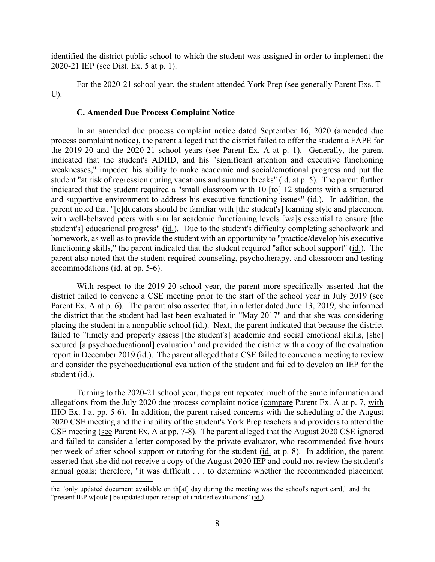identified the district public school to which the student was assigned in order to implement the 2020-21 IEP (see Dist. Ex. 5 at p. 1).

For the 2020-21 school year, the student attended York Prep (see generally Parent Exs. T-U).

#### **C. Amended Due Process Complaint Notice**

 process complaint notice), the parent alleged that the district failed to offer the student a FAPE for the 2019-20 and the 2020-21 school years (see Parent Ex. A at p. 1). Generally, the parent student "at risk of regression during vacations and summer breaks" (id. at p. 5). The parent further and supportive environment to address his executive functioning issues" (id.). In addition, the student's] educational progress" (id.). Due to the student's difficulty completing schoolwork and accommodations (*id.* at pp. 5-6). In an amended due process complaint notice dated September 16, 2020 (amended due indicated that the student's ADHD, and his "significant attention and executive functioning weaknesses," impeded his ability to make academic and social/emotional progress and put the indicated that the student required a "small classroom with 10 [to] 12 students with a structured parent noted that "[e]ducators should be familiar with [the student's] learning style and placement with well-behaved peers with similar academic functioning levels [wa]s essential to ensure [the homework, as well as to provide the student with an opportunity to "practice/develop his executive functioning skills," the parent indicated that the student required "after school support" (id.). The parent also noted that the student required counseling, psychotherapy, and classroom and testing

 Parent Ex. A at p. 6). The parent also asserted that, in a letter dated June 13, 2019, she informed failed to "timely and properly assess [the student's] academic and social emotional skills, [she] student (<u>id.</u>). With respect to the 2019-20 school year, the parent more specifically asserted that the district failed to convene a CSE meeting prior to the start of the school year in July 2019 (see the district that the student had last been evaluated in "May 2017" and that she was considering placing the student in a nonpublic school (id.). Next, the parent indicated that because the district secured [a psychoeducational] evaluation" and provided the district with a copy of the evaluation report in December 2019 (id.). The parent alleged that a CSE failed to convene a meeting to review and consider the psychoeducational evaluation of the student and failed to develop an IEP for the

CSE meeting (see Parent Ex. A at pp. 7-8). The parent alleged that the August 2020 CSE ignored Turning to the 2020-21 school year, the parent repeated much of the same information and allegations from the July 2020 due process complaint notice (compare Parent Ex. A at p. 7, with IHO Ex. I at pp. 5-6). In addition, the parent raised concerns with the scheduling of the August 2020 CSE meeting and the inability of the student's York Prep teachers and providers to attend the and failed to consider a letter composed by the private evaluator, who recommended five hours per week of after school support or tutoring for the student (id. at p. 8). In addition, the parent asserted that she did not receive a copy of the August 2020 IEP and could not review the student's annual goals; therefore, "it was difficult . . . to determine whether the recommended placement

<sup>&</sup>quot;present IEP w[ould] be updated upon receipt of undated evaluations" (id.). the "only updated document available on th[at] day during the meeting was the school's report card," and the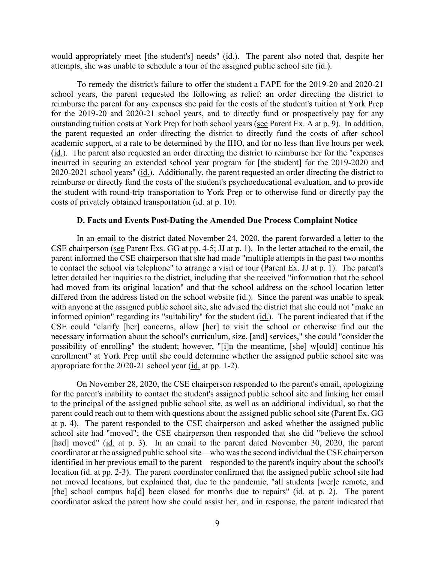would appropriately meet [the student's] needs" (*id.*). The parent also noted that, despite her attempts, she was unable to schedule a tour of the assigned public school site (id.).

outstanding tuition costs at York Prep for both school years (see Parent Ex. A at p. 9). In addition, (id.). The parent also requested an order directing the district to reimburse her for the "expenses" 2020-2021 school years" (*id.*). Additionally, the parent requested an order directing the district to costs of privately obtained transportation (*id.* at p. 10). To remedy the district's failure to offer the student a FAPE for the 2019-20 and 2020-21 school years, the parent requested the following as relief: an order directing the district to reimburse the parent for any expenses she paid for the costs of the student's tuition at York Prep for the 2019-20 and 2020-21 school years, and to directly fund or prospectively pay for any the parent requested an order directing the district to directly fund the costs of after school academic support, at a rate to be determined by the IHO, and for no less than five hours per week incurred in securing an extended school year program for [the student] for the 2019-2020 and reimburse or directly fund the costs of the student's psychoeducational evaluation, and to provide the student with round-trip transportation to York Prep or to otherwise fund or directly pay the

#### **D. Facts and Events Post-Dating the Amended Due Process Complaint Notice**

CSE chairperson (see Parent Exs. GG at pp. 4-5; JJ at p. 1). In the letter attached to the email, the to contact the school via telephone" to arrange a visit or tour (Parent Ex. JJ at p. 1). The parent's had moved from its original location" and that the school address on the school location letter with anyone at the assigned public school site, she advised the district that she could not "make an possibility of enrolling" the student; however, "[i]n the meantime, [she] w[ould] continue his appropriate for the 2020-21 school year (*id.* at pp. 1-2). In an email to the district dated November 24, 2020, the parent forwarded a letter to the parent informed the CSE chairperson that she had made "multiple attempts in the past two months letter detailed her inquiries to the district, including that she received "information that the school differed from the address listed on the school website (id.). Since the parent was unable to speak informed opinion" regarding its "suitability" for the student (id.). The parent indicated that if the CSE could "clarify [her] concerns, allow [her] to visit the school or otherwise find out the necessary information about the school's curriculum, size, [and] services," she could "consider the enrollment" at York Prep until she could determine whether the assigned public school site was

 at p. 4). The parent responded to the CSE chairperson and asked whether the assigned public not moved locations, but explained that, due to the pandemic, "all students [wer]e remote, and On November 28, 2020, the CSE chairperson responded to the parent's email, apologizing for the parent's inability to contact the student's assigned public school site and linking her email to the principal of the assigned public school site, as well as an additional individual, so that the parent could reach out to them with questions about the assigned public school site (Parent Ex. GG school site had "moved"; the CSE chairperson then responded that she did "believe the school [had] moved" (id. at p. 3). In an email to the parent dated November 30, 2020, the parent coordinator at the assigned public school site—who was the second individual the CSE chairperson identified in her previous email to the parent—responded to the parent's inquiry about the school's location (id. at pp. 2-3). The parent coordinator confirmed that the assigned public school site had [the] school campus ha<sup>[d]</sup> been closed for months due to repairs" (id. at p. 2). The parent coordinator asked the parent how she could assist her, and in response, the parent indicated that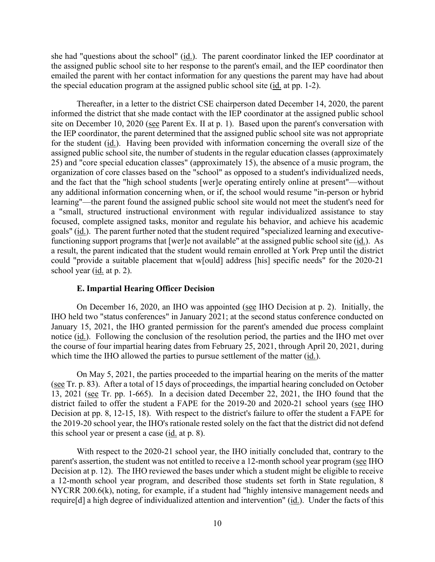the special education program at the assigned public school site (*id.* at pp. 1-2). she had "questions about the school" (id.). The parent coordinator linked the IEP coordinator at the assigned public school site to her response to the parent's email, and the IEP coordinator then emailed the parent with her contact information for any questions the parent may have had about

for the student (*id.*). Having been provided with information concerning the overall size of the functioning support programs that [wer]e not available" at the assigned public school site (id.). As school year (id. at p. 2). Thereafter, in a letter to the district CSE chairperson dated December 14, 2020, the parent informed the district that she made contact with the IEP coordinator at the assigned public school site on December 10, 2020 (see Parent Ex. II at p. 1). Based upon the parent's conversation with the IEP coordinator, the parent determined that the assigned public school site was not appropriate assigned public school site, the number of students in the regular education classes (approximately 25) and "core special education classes" (approximately 15), the absence of a music program, the organization of core classes based on the "school" as opposed to a student's individualized needs, and the fact that the "high school students [wer]e operating entirely online at present"—without any additional information concerning when, or if, the school would resume "in-person or hybrid learning"—the parent found the assigned public school site would not meet the student's need for a "small, structured instructional environment with regular individualized assistance to stay focused, complete assigned tasks, monitor and regulate his behavior, and achieve his academic goals" (id.). The parent further noted that the student required "specialized learning and executivea result, the parent indicated that the student would remain enrolled at York Prep until the district could "provide a suitable placement that w[ould] address [his] specific needs" for the 2020-21

# **E. Impartial Hearing Officer Decision**

On December 16, 2020, an IHO was appointed (see IHO Decision at p. 2). Initially, the notice (id.). Following the conclusion of the resolution period, the parties and the IHO met over the course of four impartial hearing dates from February 25, 2021, through April 20, 2021, during which time the IHO allowed the parties to pursue settlement of the matter (id.). IHO held two "status conferences" in January 2021; at the second status conference conducted on January 15, 2021, the IHO granted permission for the parent's amended due process complaint

 13, 2021 (see Tr. pp. 1-665). In a decision dated December 22, 2021, the IHO found that the district failed to offer the student a FAPE for the 2019-20 and 2020-21 school years (see IHO Decision at pp. 8, 12-15, 18). With respect to the district's failure to offer the student a FAPE for this school year or present a case  $(id. at p. 8)$ . On May 5, 2021, the parties proceeded to the impartial hearing on the merits of the matter (see Tr. p. 83). After a total of 15 days of proceedings, the impartial hearing concluded on October the 2019-20 school year, the IHO's rationale rested solely on the fact that the district did not defend

 Decision at p. 12). The IHO reviewed the bases under which a student might be eligible to receive With respect to the 2020-21 school year, the IHO initially concluded that, contrary to the parent's assertion, the student was not entitled to receive a 12-month school year program (see IHO a 12-month school year program, and described those students set forth in State regulation, 8 NYCRR 200.6(k), noting, for example, if a student had "highly intensive management needs and require[d] a high degree of individualized attention and intervention" (id.). Under the facts of this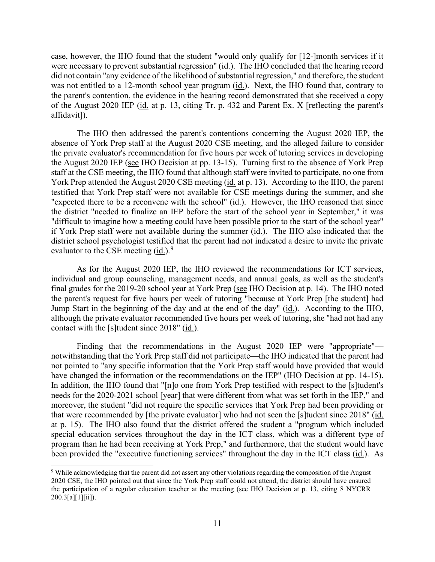were necessary to prevent substantial regression" (id.). The IHO concluded that the hearing record was not entitled to a 12-month school year program (*id.*). Next, the IHO found that, contrary to of the August 2020 IEP (*id.* at p. 13, citing Tr. p. 432 and Parent Ex. X [reflecting the parent's affidavit]). case, however, the IHO found that the student "would only qualify for [12-]month services if it did not contain "any evidence of the likelihood of substantial regression," and therefore, the student the parent's contention, the evidence in the hearing record demonstrated that she received a copy

the August 2020 IEP (see IHO Decision at pp. 13-15). Turning first to the absence of York Prep "expected there to be a reconvene with the school" (*id.*). However, the IHO reasoned that since The IHO then addressed the parent's contentions concerning the August 2020 IEP, the absence of York Prep staff at the August 2020 CSE meeting, and the alleged failure to consider the private evaluator's recommendation for five hours per week of tutoring services in developing staff at the CSE meeting, the IHO found that although staff were invited to participate, no one from York Prep attended the August 2020 CSE meeting (id. at p. 13). According to the IHO, the parent testified that York Prep staff were not available for CSE meetings during the summer, and she the district "needed to finalize an IEP before the start of the school year in September," it was "difficult to imagine how a meeting could have been possible prior to the start of the school year" if York Prep staff were not available during the summer (id.). The IHO also indicated that the district school psychologist testified that the parent had not indicated a desire to invite the private evaluator to the CSE meeting  $(id.)$ <sup>[9](#page-10-0)</sup>

final grades for the 2019-20 school year at York Prep (see IHO Decision at p. 14). The IHO noted contact with the [s]tudent since 2018" (id.). As for the August 2020 IEP, the IHO reviewed the recommendations for ICT services, individual and group counseling, management needs, and annual goals, as well as the student's the parent's request for five hours per week of tutoring "because at York Prep [the student] had Jump Start in the beginning of the day and at the end of the day" (id.). According to the IHO, although the private evaluator recommended five hours per week of tutoring, she "had not had any

Finding that the recommendations in the August 2020 IEP were "appropriate" notwithstanding that the York Prep staff did not participate—the IHO indicated that the parent had not pointed to "any specific information that the York Prep staff would have provided that would have changed the information or the recommendations on the IEP" (IHO Decision at pp. 14-15). In addition, the IHO found that "[n]o one from York Prep testified with respect to the [s]tudent's needs for the 2020-2021 school [year] that were different from what was set forth in the IEP," and moreover, the student "did not require the specific services that York Prep had been providing or that were recommended by [the private evaluator] who had not seen the [s]tudent since 2018" (id. at p. 15). The IHO also found that the district offered the student a "program which included special education services throughout the day in the ICT class, which was a different type of program than he had been receiving at York Prep," and furthermore, that the student would have been provided the "executive functioning services" throughout the day in the ICT class (id.). As

<span id="page-10-0"></span>the participation of a regular education teacher at the meeting (see IHO Decision at p. 13, citing 8 NYCRR 9 While acknowledging that the parent did not assert any other violations regarding the composition of the August 2020 CSE, the IHO pointed out that since the York Prep staff could not attend, the district should have ensured 200.3[a][1][ii]).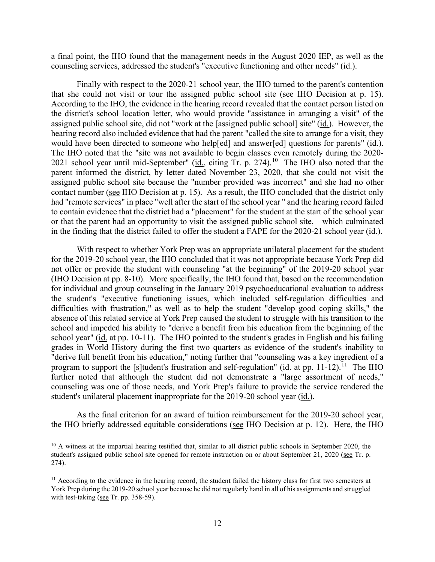counseling services, addressed the student's "executive functioning and other needs" (id.). a final point, the IHO found that the management needs in the August 2020 IEP, as well as the

that she could not visit or tour the assigned public school site (see IHO Decision at p. 15). assigned public school site, did not "work at the [assigned public school] site" (id.). However, the would have been directed to someone who help[ed] and answer[ed] questions for parents" (id.). 2021 school year until mid-September" ( $\underline{id}$ , citing Tr. p. 274).<sup>[10](#page-11-0)</sup> The IHO also noted that the had "remote services" in place "well after the start of the school year " and the hearing record failed in the finding that the district failed to offer the student a FAPE for the 2020-21 school year (id.). Finally with respect to the 2020-21 school year, the IHO turned to the parent's contention According to the IHO, the evidence in the hearing record revealed that the contact person listed on the district's school location letter, who would provide "assistance in arranging a visit" of the hearing record also included evidence that had the parent "called the site to arrange for a visit, they The IHO noted that the "site was not available to begin classes even remotely during the 2020parent informed the district, by letter dated November 23, 2020, that she could not visit the assigned public school site because the "number provided was incorrect" and she had no other contact number (see IHO Decision at p. 15). As a result, the IHO concluded that the district only to contain evidence that the district had a "placement" for the student at the start of the school year or that the parent had an opportunity to visit the assigned public school site,—which culminated

 for the 2019-20 school year, the IHO concluded that it was not appropriate because York Prep did (IHO Decision at pp. 8-10). More specifically, the IHO found that, based on the recommendation program to support the [s]tudent's frustration and self-regulation" ( $\underline{\text{id}}$  at pp. [11](#page-11-1)-12).<sup>11</sup> The IHO student's unilateral placement inappropriate for the 2019-20 school year (id.). With respect to whether York Prep was an appropriate unilateral placement for the student not offer or provide the student with counseling "at the beginning" of the 2019-20 school year for individual and group counseling in the January 2019 psychoeducational evaluation to address the student's "executive functioning issues, which included self-regulation difficulties and difficulties with frustration," as well as to help the student "develop good coping skills," the absence of this related service at York Prep caused the student to struggle with his transition to the school and impeded his ability to "derive a benefit from his education from the beginning of the school year" (id. at pp. 10-11). The IHO pointed to the student's grades in English and his failing grades in World History during the first two quarters as evidence of the student's inability to "derive full benefit from his education," noting further that "counseling was a key ingredient of a further noted that although the student did not demonstrate a "large assortment of needs," counseling was one of those needs, and York Prep's failure to provide the service rendered the

the IHO briefly addressed equitable considerations (see IHO Decision at p. 12). Here, the IHO As the final criterion for an award of tuition reimbursement for the 2019-20 school year,

<span id="page-11-0"></span><sup>&</sup>lt;sup>10</sup> A witness at the impartial hearing testified that, similar to all district public schools in September 2020, the 274). student's assigned public school site opened for remote instruction on or about September 21, 2020 (see Tr. p.

<span id="page-11-1"></span><sup>274).&</sup>lt;br><sup>11</sup> According to the evidence in the hearing record, the student failed the history class for first two semesters at York Prep during the 2019-20 school year because he did not regularly hand in all of his assignments and struggled with test-taking ( $\frac{\text{see}}{\text{Tr}}$ . pp. 358-59).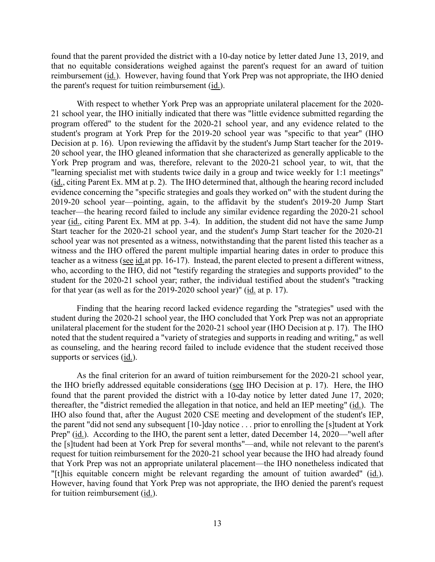reimbursement (*id.*). However, having found that York Prep was not appropriate, the IHO denied found that the parent provided the district with a 10-day notice by letter dated June 13, 2019, and that no equitable considerations weighed against the parent's request for an award of tuition the parent's request for tuition reimbursement  $(id.)$ .

 20 school year, the IHO gleaned information that she characterized as generally applicable to the (id., citing Parent Ex. MM at p. 2). The IHO determined that, although the hearing record included teacher as a witness (see id.at pp. 16-17). Instead, the parent elected to present a different witness, for that year (as well as for the  $2019-2020$  school year)" ( $\underline{\text{id}}$  at p. 17). With respect to whether York Prep was an appropriate unilateral placement for the 2020- 21 school year, the IHO initially indicated that there was "little evidence submitted regarding the program offered" to the student for the 2020-21 school year, and any evidence related to the student's program at York Prep for the 2019-20 school year was "specific to that year" (IHO Decision at p. 16). Upon reviewing the affidavit by the student's Jump Start teacher for the 2019- York Prep program and was, therefore, relevant to the 2020-21 school year, to wit, that the "learning specialist met with students twice daily in a group and twice weekly for 1:1 meetings" evidence concerning the "specific strategies and goals they worked on" with the student during the 2019-20 school year—pointing, again, to the affidavit by the student's 2019-20 Jump Start teacher—the hearing record failed to include any similar evidence regarding the 2020-21 school year (id., citing Parent Ex. MM at pp. 3-4). In addition, the student did not have the same Jump Start teacher for the 2020-21 school year, and the student's Jump Start teacher for the 2020-21 school year was not presented as a witness, notwithstanding that the parent listed this teacher as a witness and the IHO offered the parent multiple impartial hearing dates in order to produce this who, according to the IHO, did not "testify regarding the strategies and supports provided" to the student for the 2020-21 school year; rather, the individual testified about the student's "tracking

 unilateral placement for the student for the 2020-21 school year (IHO Decision at p. 17). The IHO Finding that the hearing record lacked evidence regarding the "strategies" used with the student during the 2020-21 school year, the IHO concluded that York Prep was not an appropriate noted that the student required a "variety of strategies and supports in reading and writing," as well as counseling, and the hearing record failed to include evidence that the student received those supports or services (id.).

thereafter, the "district remedied the allegation in that notice, and held an IEP meeting" (id.). The "[t]his equitable concern might be relevant regarding the amount of tuition awarded" (id.). As the final criterion for an award of tuition reimbursement for the 2020-21 school year, the IHO briefly addressed equitable considerations (see IHO Decision at p. 17). Here, the IHO found that the parent provided the district with a 10-day notice by letter dated June 17, 2020; IHO also found that, after the August 2020 CSE meeting and development of the student's IEP, the parent "did not send any subsequent [10-]day notice . . . prior to enrolling the [s]tudent at York Prep" (id.). According to the IHO, the parent sent a letter, dated December 14, 2020—"well after the [s]tudent had been at York Prep for several months"—and, while not relevant to the parent's request for tuition reimbursement for the 2020-21 school year because the IHO had already found that York Prep was not an appropriate unilateral placement—the IHO nonetheless indicated that However, having found that York Prep was not appropriate, the IHO denied the parent's request for tuition reimbursement (id.).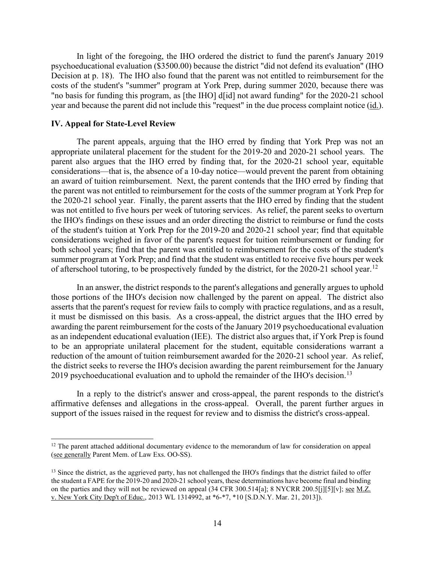"no basis for funding this program, as [the IHO] d[id] not award funding" for the 2020-21 school year and because the parent did not include this "request" in the due process complaint notice (id.). In light of the foregoing, the IHO ordered the district to fund the parent's January 2019 psychoeducational evaluation (\$3500.00) because the district "did not defend its evaluation" (IHO Decision at p. 18). The IHO also found that the parent was not entitled to reimbursement for the costs of the student's "summer" program at York Prep, during summer 2020, because there was

#### **IV. Appeal for State-Level Review**

 The parent appeals, arguing that the IHO erred by finding that York Prep was not an of afterschool tutoring, to be prospectively funded by the district, for the 2020-21 school year.<sup>[12](#page-13-0)</sup> appropriate unilateral placement for the student for the 2019-20 and 2020-21 school years. The parent also argues that the IHO erred by finding that, for the 2020-21 school year, equitable considerations—that is, the absence of a 10-day notice—would prevent the parent from obtaining an award of tuition reimbursement. Next, the parent contends that the IHO erred by finding that the parent was not entitled to reimbursement for the costs of the summer program at York Prep for the 2020-21 school year. Finally, the parent asserts that the IHO erred by finding that the student was not entitled to five hours per week of tutoring services. As relief, the parent seeks to overturn the IHO's findings on these issues and an order directing the district to reimburse or fund the costs of the student's tuition at York Prep for the 2019-20 and 2020-21 school year; find that equitable considerations weighed in favor of the parent's request for tuition reimbursement or funding for both school years; find that the parent was entitled to reimbursement for the costs of the student's summer program at York Prep; and find that the student was entitled to receive five hours per week

 it must be dismissed on this basis. As a cross-appeal, the district argues that the IHO erred by reduction of the amount of tuition reimbursement awarded for the 2020-21 school year. As relief, 2019 psychoeducational evaluation and to uphold the remainder of the IHO's decision.<sup>[13](#page-13-1)</sup> In an answer, the district responds to the parent's allegations and generally argues to uphold those portions of the IHO's decision now challenged by the parent on appeal. The district also asserts that the parent's request for review fails to comply with practice regulations, and as a result, awarding the parent reimbursement for the costs of the January 2019 psychoeducational evaluation as an independent educational evaluation (IEE). The district also argues that, if York Prep is found to be an appropriate unilateral placement for the student, equitable considerations warrant a the district seeks to reverse the IHO's decision awarding the parent reimbursement for the January

 support of the issues raised in the request for review and to dismiss the district's cross-appeal. In a reply to the district's answer and cross-appeal, the parent responds to the district's affirmative defenses and allegations in the cross-appeal. Overall, the parent further argues in

<span id="page-13-0"></span> $12$  The parent attached additional documentary evidence to the memorandum of law for consideration on appeal (see generally Parent Mem. of Law Exs. OO-SS).

<span id="page-13-1"></span> v. New York City Dep't of Educ., 2013 WL 1314992, at \*6-\*7, \*10 [S.D.N.Y. Mar. 21, 2013]). 14 <sup>13</sup> Since the district, as the aggrieved party, has not challenged the IHO's findings that the district failed to offer the student a FAPE for the 2019-20 and 2020-21 school years, these determinations have become final and binding on the parties and they will not be reviewed on appeal (34 CFR 300.514[a]; 8 NYCRR 200.5[j][5][v]; <u>see M.Z.</u>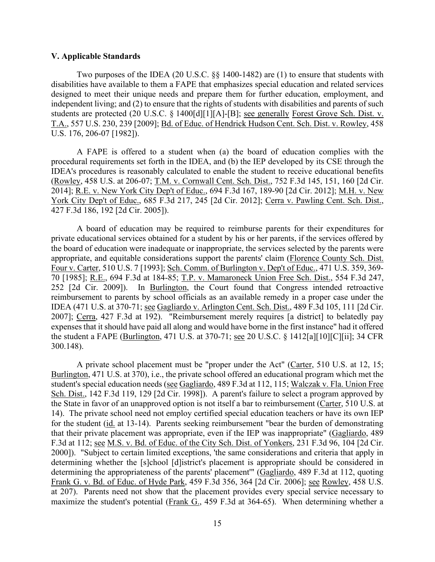#### **V. Applicable Standards**

Two purposes of the IDEA (20 U.S.C. §§ 1400-1482) are (1) to ensure that students with disabilities have available to them a FAPE that emphasizes special education and related services designed to meet their unique needs and prepare them for further education, employment, and independent living; and (2) to ensure that the rights of students with disabilities and parents of such students are protected (20 U.S.C. § 1400[d][1][A]-[B]; see generally Forest Grove Sch. Dist. v. T.A., 557 U.S. 230, 239 [2009]; Bd. of Educ. of Hendrick Hudson Cent. Sch. Dist. v. Rowley, 458 U.S. 176, 206-07 [1982]).

 A FAPE is offered to a student when (a) the board of education complies with the 2014]; <u>R.E. v. New York City Dep't of Educ.</u>, 694 F.3d 167, 189-90 [2d Cir. 2012]; <u>M.H. v. New</u> procedural requirements set forth in the IDEA, and (b) the IEP developed by its CSE through the IDEA's procedures is reasonably calculated to enable the student to receive educational benefits (Rowley, 458 U.S. at 206-07; T.M. v. Cornwall Cent. Sch. Dist., 752 F.3d 145, 151, 160 [2d Cir. York City Dep't of Educ., 685 F.3d 217, 245 [2d Cir. 2012]; Cerra v. Pawling Cent. Sch. Dist., 427 F.3d 186, 192 [2d Cir. 2005]).

 70 [1985]; R.E., 694 F.3d at 184-85; T.P. v. Mamaroneck Union Free Sch. Dist., 554 F.3d 247, reimbursement to parents by school officials as an available remedy in a proper case under the IDEA (471 U.S. at 370-71; see Gagliardo v. Arlington Cent. Sch. Dist., 489 F.3d 105, 111 [2d Cir. the student a FAPE (Burlington, 471 U.S. at 370-71; see 20 U.S.C. § 1412[a][10][C][ii]; 34 CFR A board of education may be required to reimburse parents for their expenditures for private educational services obtained for a student by his or her parents, if the services offered by the board of education were inadequate or inappropriate, the services selected by the parents were appropriate, and equitable considerations support the parents' claim (Florence County Sch. Dist. Four v. Carter, 510 U.S. 7 [1993]; Sch. Comm. of Burlington v. Dep't of Educ., 471 U.S. 359, 369- 252 [2d Cir. 2009]). In Burlington, the Court found that Congress intended retroactive 2007]; Cerra, 427 F.3d at 192). "Reimbursement merely requires [a district] to belatedly pay expenses that it should have paid all along and would have borne in the first instance" had it offered 300.148).

Sch. Dist., 142 F.3d 119, 129 [2d Cir. 1998]). A parent's failure to select a program approved by that their private placement was appropriate, even if the IEP was inappropriate" (Gagliardo, 489 F.3d at 112; see M.S. v. Bd. of Educ. of the City Sch. Dist. of Yonkers, 231 F.3d 96, 104 [2d Cir. A private school placement must be "proper under the Act" (Carter, 510 U.S. at 12, 15; Burlington, 471 U.S. at 370), i.e., the private school offered an educational program which met the student's special education needs (see Gagliardo, 489 F.3d at 112, 115; Walczak v. Fla. Union Free the State in favor of an unapproved option is not itself a bar to reimbursement (Carter, 510 U.S. at 14). The private school need not employ certified special education teachers or have its own IEP for the student (id. at 13-14). Parents seeking reimbursement "bear the burden of demonstrating 2000]). "Subject to certain limited exceptions, 'the same considerations and criteria that apply in determining whether the [s]chool [d]istrict's placement is appropriate should be considered in determining the appropriateness of the parents' placement'" (Gagliardo, 489 F.3d at 112, quoting Frank G. v. Bd. of Educ. of Hyde Park, 459 F.3d 356, 364 [2d Cir. 2006]; see Rowley, 458 U.S. at 207). Parents need not show that the placement provides every special service necessary to maximize the student's potential (Frank G., 459 F.3d at 364-65). When determining whether a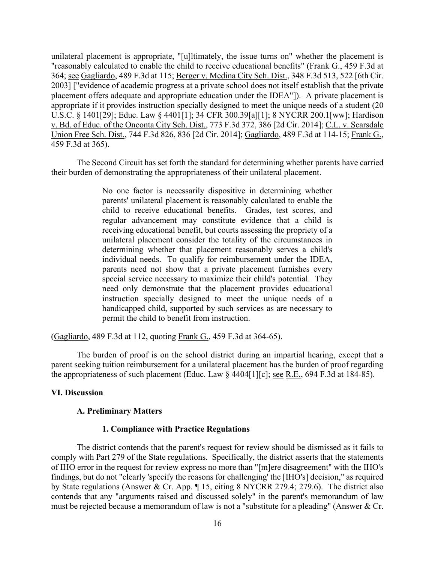364; see Gagliardo, 489 F.3d at 115; Berger v. Medina City Sch. Dist., 348 F.3d 513, 522 [6th Cir. placement offers adequate and appropriate education under the IDEA"]). A private placement is U.S.C. § 1401[29]; Educ. Law § 4401[1]; 34 CFR 300.39[a][1]; 8 NYCRR 200.1[ww]; Hardison unilateral placement is appropriate, "[u]ltimately, the issue turns on" whether the placement is "reasonably calculated to enable the child to receive educational benefits" (Frank G., 459 F.3d at 2003] ["evidence of academic progress at a private school does not itself establish that the private appropriate if it provides instruction specially designed to meet the unique needs of a student (20 v. Bd. of Educ. of the Oneonta City Sch. Dist., 773 F.3d 372, 386 [2d Cir. 2014]; C.L. v. Scarsdale Union Free Sch. Dist., 744 F.3d 826, 836 [2d Cir. 2014]; Gagliardo, 489 F.3d at 114-15; Frank G., 459 F.3d at 365).

The Second Circuit has set forth the standard for determining whether parents have carried their burden of demonstrating the appropriateness of their unilateral placement.

> individual needs. To qualify for reimbursement under the IDEA, instruction specially designed to meet the unique needs of a No one factor is necessarily dispositive in determining whether parents' unilateral placement is reasonably calculated to enable the child to receive educational benefits. Grades, test scores, and regular advancement may constitute evidence that a child is receiving educational benefit, but courts assessing the propriety of a unilateral placement consider the totality of the circumstances in determining whether that placement reasonably serves a child's parents need not show that a private placement furnishes every special service necessary to maximize their child's potential. They need only demonstrate that the placement provides educational handicapped child, supported by such services as are necessary to permit the child to benefit from instruction.

(Gagliardo, 489 F.3d at 112, quoting Frank G., 459 F.3d at 364-65).

the appropriateness of such placement (Educ. Law  $\S$  4404[1][c]; <u>see R.E.</u>, 694 F.3d at 184-85). The burden of proof is on the school district during an impartial hearing, except that a parent seeking tuition reimbursement for a unilateral placement has the burden of proof regarding

# **VI. Discussion**

# **A. Preliminary Matters**

# **1. Compliance with Practice Regulations**

 The district contends that the parent's request for review should be dismissed as it fails to of IHO error in the request for review express no more than "[m]ere disagreement" with the IHO's by State regulations (Answer & Cr. App. ¶ 15, citing 8 NYCRR 279.4; 279.6). The district also comply with Part 279 of the State regulations. Specifically, the district asserts that the statements findings, but do not "clearly 'specify the reasons for challenging' the [IHO's] decision," as required contends that any "arguments raised and discussed solely" in the parent's memorandum of law must be rejected because a memorandum of law is not a "substitute for a pleading" (Answer & Cr.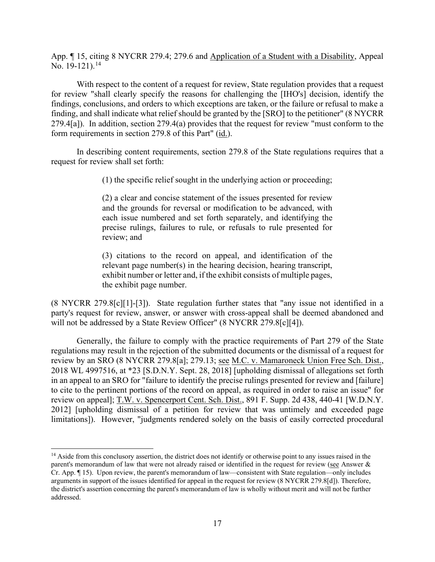App. ¶ 15, citing 8 NYCRR 279.4; 279.6 and Application of a Student with a Disability, Appeal No.  $19-121$ ).<sup>[14](#page-16-0)</sup>

 279.4[a]). In addition, section 279.4(a) provides that the request for review "must conform to the form requirements in section 279.8 of this Part" (id.). With respect to the content of a request for review, State regulation provides that a request for review "shall clearly specify the reasons for challenging the [IHO's] decision, identify the findings, conclusions, and orders to which exceptions are taken, or the failure or refusal to make a finding, and shall indicate what relief should be granted by the [SRO] to the petitioner" (8 NYCRR

 In describing content requirements, section 279.8 of the State regulations requires that a request for review shall set forth:

(1) the specific relief sought in the underlying action or proceeding;

 (2) a clear and concise statement of the issues presented for review and the grounds for reversal or modification to be advanced, with each issue numbered and set forth separately, and identifying the precise rulings, failures to rule, or refusals to rule presented for review; and

(3) citations to the record on appeal, and identification of the relevant page number(s) in the hearing decision, hearing transcript, exhibit number or letter and, if the exhibit consists of multiple pages, the exhibit page number.

 (8 NYCRR 279.8[c][1]-[3]). State regulation further states that "any issue not identified in a party's request for review, answer, or answer with cross-appeal shall be deemed abandoned and will not be addressed by a State Review Officer" (8 NYCRR 279.8[c][4]).

 Generally, the failure to comply with the practice requirements of Part 279 of the State regulations may result in the rejection of the submitted documents or the dismissal of a request for review by an SRO (8 NYCRR 279.8[a]; 279.13; see M.C. v. Mamaroneck Union Free Sch. Dist., 2018 WL 4997516, at \*23 [S.D.N.Y. Sept. 28, 2018] [upholding dismissal of allegations set forth in an appeal to an SRO for "failure to identify the precise rulings presented for review and [failure] to cite to the pertinent portions of the record on appeal, as required in order to raise an issue" for review on appeal]; T.W. v. Spencerport Cent. Sch. Dist., 891 F. Supp. 2d 438, 440-41 [W.D.N.Y. 2012] [upholding dismissal of a petition for review that was untimely and exceeded page limitations]). However, "judgments rendered solely on the basis of easily corrected procedural

<span id="page-16-0"></span><sup>&</sup>lt;sup>14</sup> Aside from this conclusory assertion, the district does not identify or otherwise point to any issues raised in the arguments in support of the issues identified for appeal in the request for review (8 NYCRR 279.8[d]). Therefore, the district's assertion concerning the parent's memorandum of law is wholly without merit and will not be further parent's memorandum of law that were not already raised or identified in the request for review (see Answer & Cr. App. ¶ 15). Upon review, the parent's memorandum of law—consistent with State regulation—only includes addressed.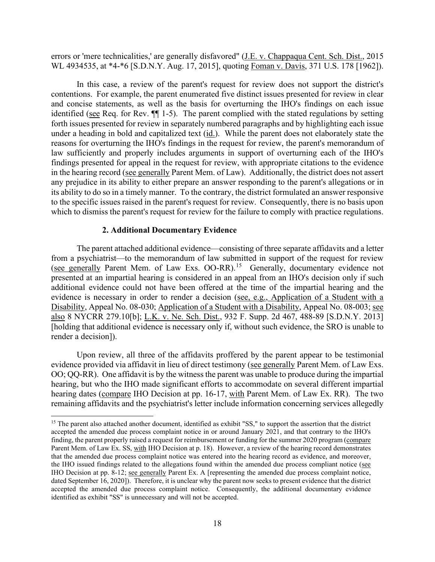errors or 'mere technicalities,' are generally disfavored" (*J.E. v. Chappaqua Cent. Sch. Dist., 2015*) WL 4934535, at \*4-\*6 [S.D.N.Y. Aug. 17, 2015], quoting Foman v. Davis, 371 U.S. 178 [1962]).

 contentions. For example, the parent enumerated five distinct issues presented for review in clear under a heading in bold and capitalized text (*id.*). While the parent does not elaborately state the findings presented for appeal in the request for review, with appropriate citations to the evidence in the hearing record (see generally Parent Mem. of Law). Additionally, the district does not assert its ability to do so in a timely manner. To the contrary, the district formulated an answer responsive which to dismiss the parent's request for review for the failure to comply with practice regulations. In this case, a review of the parent's request for review does not support the district's and concise statements, as well as the basis for overturning the IHO's findings on each issue identified (see Req. for Rev. ¶¶ 1-5). The parent complied with the stated regulations by setting forth issues presented for review in separately numbered paragraphs and by highlighting each issue reasons for overturning the IHO's findings in the request for review, the parent's memorandum of law sufficiently and properly includes arguments in support of overturning each of the IHO's any prejudice in its ability to either prepare an answer responding to the parent's allegations or in to the specific issues raised in the parent's request for review. Consequently, there is no basis upon

# **2. Additional Documentary Evidence**

 The parent attached additional evidence—consisting of three separate affidavits and a letter (see generally Parent Mem. of Law Exs. OO-RR).<sup>[15](#page-17-0)</sup> Generally, documentary evidence not [holding that additional evidence is necessary only if, without such evidence, the SRO is unable to render a decision]). from a psychiatrist—to the memorandum of law submitted in support of the request for review presented at an impartial hearing is considered in an appeal from an IHO's decision only if such additional evidence could not have been offered at the time of the impartial hearing and the evidence is necessary in order to render a decision (see, e.g., Application of a Student with a Disability, Appeal No. 08-030; Application of a Student with a Disability, Appeal No. 08-003; see also 8 NYCRR 279.10[b]; L.K. v. Ne. Sch. Dist., 932 F. Supp. 2d 467, 488-89 [S.D.N.Y. 2013]

evidence provided via affidavit in lieu of direct testimony (see generally Parent Mem. of Law Exs. OO; QQ-RR). One affidavit is by the witness the parent was unable to produce during the impartial hearing dates (compare IHO Decision at pp. 16-17, with Parent Mem. of Law Ex. RR). The two Upon review, all three of the affidavits proffered by the parent appear to be testimonial hearing, but who the IHO made significant efforts to accommodate on several different impartial remaining affidavits and the psychiatrist's letter include information concerning services allegedly

<span id="page-17-0"></span><sup>&</sup>lt;sup>15</sup> The parent also attached another document, identified as exhibit "SS," to support the assertion that the district finding, the parent properly raised a request for reimbursement or funding for the summer 2020 program (compare the IHO issued findings related to the allegations found within the amended due process compliant notice (see dated September 16, 2020]). Therefore, it is unclear why the parent now seeks to present evidence that the district accepted the amended due process complaint notice. Consequently, the additional documentary evidence accepted the amended due process complaint notice in or around January 2021, and that contrary to the IHO's Parent Mem. of Law Ex. SS, with IHO Decision at p. 18). However, a review of the hearing record demonstrates that the amended due process complaint notice was entered into the hearing record as evidence, and moreover, IHO Decision at pp. 8-12; see generally Parent Ex. A [representing the amended due process complaint notice, identified as exhibit "SS" is unnecessary and will not be accepted.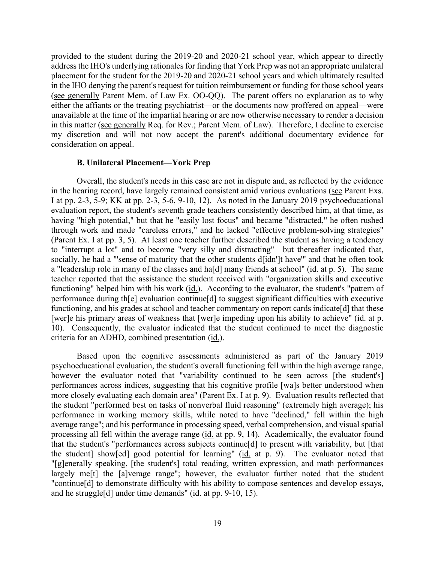address the IHO's underlying rationales for finding that York Prep was not an appropriate unilateral in the IHO denying the parent's request for tuition reimbursement or funding for those school years unavailable at the time of the impartial hearing or are now otherwise necessary to render a decision in this matter (see generally Req. for Rev.; Parent Mem. of Law). Therefore, I decline to exercise provided to the student during the 2019-20 and 2020-21 school year, which appear to directly placement for the student for the 2019-20 and 2020-21 school years and which ultimately resulted (see generally Parent Mem. of Law Ex. OO-QQ). The parent offers no explanation as to why either the affiants or the treating psychiatrist—or the documents now proffered on appeal—were my discretion and will not now accept the parent's additional documentary evidence for consideration on appeal.

#### **B. Unilateral Placement—York Prep**

 Overall, the student's needs in this case are not in dispute and, as reflected by the evidence I at pp. 2-3, 5-9; KK at pp. 2-3, 5-6, 9-10, 12). As noted in the January 2019 psychoeducational through work and made "careless errors," and he lacked "effective problem-solving strategies" (Parent Ex. I at pp. 3, 5). At least one teacher further described the student as having a tendency a "leadership role in many of the classes and ha[d] many friends at school" (id. at p. 5). The same functioning" helped him with his work (*id.*). According to the evaluator, the student's "pattern of [wer]e his primary areas of weakness that [wer]e impeding upon his ability to achieve" (id. at p. 10). Consequently, the evaluator indicated that the student continued to meet the diagnostic criteria for an ADHD, combined presentation (id.). in the hearing record, have largely remained consistent amid various evaluations (see Parent Exs. evaluation report, the student's seventh grade teachers consistently described him, at that time, as having "high potential," but that he "easily lost focus" and became "distracted," he often rushed to "interrupt a lot" and to become "very silly and distracting"—but thereafter indicated that, socially, he had a "'sense of maturity that the other students d[idn']t have'" and that he often took teacher reported that the assistance the student received with "organization skills and executive performance during th[e] evaluation continue[d] to suggest significant difficulties with executive functioning, and his grades at school and teacher commentary on report cards indicate [d] that these

 however the evaluator noted that "variability continued to be seen across [the student's] processing all fell within the average range (id. at pp. 9, 14). Academically, the evaluator found that the student's "performances across subjects continue[d] to present with variability, but [that the student] show[ed] good potential for learning" (id. at p. 9). The evaluator noted that and he struggle[d] under time demands" (*id.* at pp. 9-10, 15). Based upon the cognitive assessments administered as part of the January 2019 psychoeducational evaluation, the student's overall functioning fell within the high average range, performances across indices, suggesting that his cognitive profile [wa]s better understood when more closely evaluating each domain area" (Parent Ex. I at p. 9). Evaluation results reflected that the student "performed best on tasks of nonverbal fluid reasoning" (extremely high average); his performance in working memory skills, while noted to have "declined," fell within the high average range"; and his performance in processing speed, verbal comprehension, and visual spatial "[g]enerally speaking, [the student's] total reading, written expression, and math performances largely me[t] the [a]verage range"; however, the evaluator further noted that the student "continue[d] to demonstrate difficulty with his ability to compose sentences and develop essays,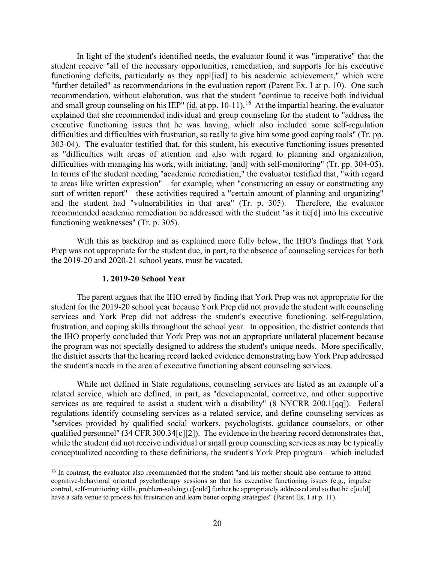"further detailed" as recommendations in the evaluation report (Parent Ex. I at p. 10). One such and small group counseling on his IEP" ( $\underline{\text{id}}$  at pp. 10-11).<sup>16</sup> At the impartial hearing, the evaluator difficulties with managing his work, with initiating, [and] with self-monitoring" (Tr. pp. 304-05). In light of the student's identified needs, the evaluator found it was "imperative" that the student receive "all of the necessary opportunities, remediation, and supports for his executive functioning deficits, particularly as they appl[ied] to his academic achievement," which were recommendation, without elaboration, was that the student "continue to receive both individual explained that she recommended individual and group counseling for the student to "address the executive functioning issues that he was having, which also included some self-regulation difficulties and difficulties with frustration, so really to give him some good coping tools" (Tr. pp. 303-04). The evaluator testified that, for this student, his executive functioning issues presented as "difficulties with areas of attention and also with regard to planning and organization, In terms of the student needing "academic remediation," the evaluator testified that, "with regard to areas like written expression"—for example, when "constructing an essay or constructing any sort of written report"—these activities required a "certain amount of planning and organizing" and the student had "vulnerabilities in that area" (Tr. p. 305). Therefore, the evaluator recommended academic remediation be addressed with the student "as it tie[d] into his executive functioning weaknesses" (Tr. p. 305).

With this as backdrop and as explained more fully below, the IHO's findings that York Prep was not appropriate for the student due, in part, to the absence of counseling services for both the 2019-20 and 2020-21 school years, must be vacated.

#### **1. 2019-20 School Year**

 The parent argues that the IHO erred by finding that York Prep was not appropriate for the frustration, and coping skills throughout the school year. In opposition, the district contends that student for the 2019-20 school year because York Prep did not provide the student with counseling services and York Prep did not address the student's executive functioning, self-regulation, the IHO properly concluded that York Prep was not an appropriate unilateral placement because the program was not specially designed to address the student's unique needs. More specifically, the district asserts that the hearing record lacked evidence demonstrating how York Prep addressed the student's needs in the area of executive functioning absent counseling services.

 services as are required to assist a student with a disability" (8 NYCRR 200.1[qq]). Federal regulations identify counseling services as a related service, and define counseling services as qualified personnel" (34 CFR 300.34[c][2]). The evidence in the hearing record demonstrates that, While not defined in State regulations, counseling services are listed as an example of a related service, which are defined, in part, as "developmental, corrective, and other supportive "services provided by qualified social workers, psychologists, guidance counselors, or other while the student did not receive individual or small group counseling services as may be typically conceptualized according to these definitions, the student's York Prep program—which included

<span id="page-19-0"></span> control, self-monitoring skills, problem-solving) c[ould] further be appropriately addressed and so that he c[ould] have a safe venue to process his frustration and learn better coping strategies" (Parent Ex. I at p. 11). <sup>16</sup> In contrast, the evaluator also recommended that the student "and his mother should also continue to attend cognitive-behavioral oriented psychotherapy sessions so that his executive functioning issues (e.g., impulse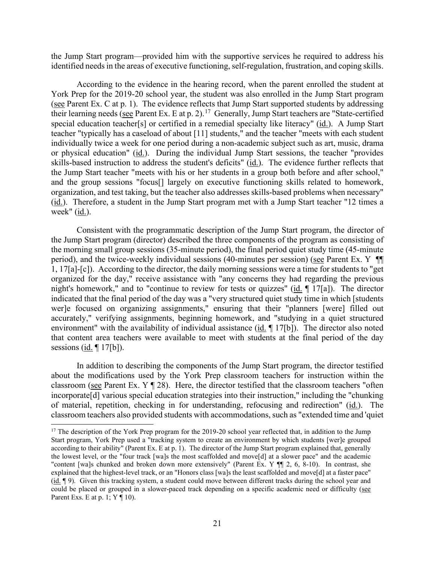the Jump Start program—provided him with the supportive services he required to address his identified needs in the areas of executive functioning, self-regulation, frustration, and coping skills.

(see Parent Ex. C at p. 1). The evidence reflects that Jump Start supported students by addressing their learning needs (see Parent Ex. E at p. 2).<sup>17</sup> Generally, Jump Start teachers are "State-certified special education teacher[s] or certified in a remedial specialty like literacy" (id.). A Jump Start (id.). Therefore, a student in the Jump Start program met with a Jump Start teacher "12 times a week" (id.). According to the evidence in the hearing record, when the parent enrolled the student at York Prep for the 2019-20 school year, the student was also enrolled in the Jump Start program teacher "typically has a caseload of about [11] students," and the teacher "meets with each student individually twice a week for one period during a non-academic subject such as art, music, drama or physical education" (id.). During the individual Jump Start sessions, the teacher "provides skills-based instruction to address the student's deficits" (id.). The evidence further reflects that the Jump Start teacher "meets with his or her students in a group both before and after school," and the group sessions "focus[] largely on executive functioning skills related to homework, organization, and test taking, but the teacher also addresses skills-based problems when necessary"

 1, 17[a]-[c]). According to the director, the daily morning sessions were a time for students to "get night's homework," and to "continue to review for tests or quizzes" (id. ¶ 17[a]). The director wer]e focused on organizing assignments," ensuring that their "planners [were] filled out environment" with the availability of individual assistance (id. [17[b]). The director also noted Consistent with the programmatic description of the Jump Start program, the director of the Jump Start program (director) described the three components of the program as consisting of the morning small group sessions (35-minute period), the final period quiet study time (45-minute period), and the twice-weekly individual sessions (40-minutes per session) (see Parent Ex. Y ¶ organized for the day," receive assistance with "any concerns they had regarding the previous indicated that the final period of the day was a "very structured quiet study time in which [students accurately," verifying assignments, beginning homework, and "studying in a quiet structured that content area teachers were available to meet with students at the final period of the day sessions  $(id. \P 17[b])$ .

classroom (see Parent Ex.  $Y \parallel 28$ ). Here, the director testified that the classroom teachers "often classroom teachers also provided students with accommodations, such as "extended time and 'quiet In addition to describing the components of the Jump Start program, the director testified about the modifications used by the York Prep classroom teachers for instruction within the incorporate[d] various special education strategies into their instruction," including the "chunking of material, repetition, checking in for understanding, refocusing and redirection" (id.). The

<span id="page-20-0"></span> according to their ability" (Parent Ex. E at p. 1). The director of the Jump Start program explained that, generally  $(id. \P 9)$ . Given this tracking system, a student could move between different tracks during the school year and  $17$  The description of the York Prep program for the 2019-20 school year reflected that, in addition to the Jump Start program, York Prep used a "tracking system to create an environment by which students [wer]e grouped the lowest level, or the "four track [wa]s the most scaffolded and move[d] at a slower pace" and the academic "content [wa]s chunked and broken down more extensively" (Parent Ex. Y ¶ 2, 6, 8-10). In contrast, she explained that the highest-level track, or an "Honors class [wa]s the least scaffolded and move[d] at a faster pace" could be placed or grouped in a slower-paced track depending on a specific academic need or difficulty (see Parent Exs. E at p. 1;  $Y \parallel 10$ ).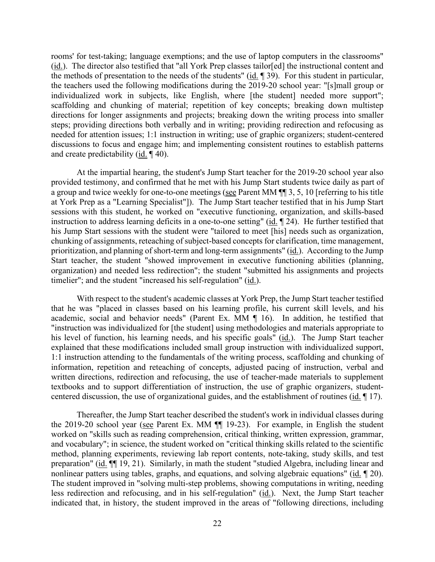rooms' for test-taking; language exemptions; and the use of laptop computers in the classrooms" (id.). The director also testified that "all York Prep classes tailor[ed] the instructional content and the methods of presentation to the needs of the students" (id. ¶ 39). For this student in particular, the teachers used the following modifications during the 2019-20 school year: "[s]mall group or individualized work in subjects, like English, where [the student] needed more support"; scaffolding and chunking of material; repetition of key concepts; breaking down multistep directions for longer assignments and projects; breaking down the writing process into smaller steps; providing directions both verbally and in writing; providing redirection and refocusing as needed for attention issues; 1:1 instruction in writing; use of graphic organizers; student-centered discussions to focus and engage him; and implementing consistent routines to establish patterns and create predictability (id. ¶ 40).

a group and twice weekly for one-to-one meetings (see Parent MM ¶ 3, 5, 10 [referring to his title at York Prep as a "Learning Specialist"]). The Jump Start teacher testified that in his Jump Start instruction to address learning deficits in a one-to-one setting" (id. 124). He further testified that prioritization, and planning of short-term and long-term assignments" (id.). According to the Jump timelier"; and the student "increased his self-regulation" (id.). At the impartial hearing, the student's Jump Start teacher for the 2019-20 school year also provided testimony, and confirmed that he met with his Jump Start students twice daily as part of sessions with this student, he worked on "executive functioning, organization, and skills-based his Jump Start sessions with the student were "tailored to meet [his] needs such as organization, chunking of assignments, reteaching of subject-based concepts for clarification, time management, Start teacher, the student "showed improvement in executive functioning abilities (planning, organization) and needed less redirection"; the student "submitted his assignments and projects

centered discussion, the use of organizational guides, and the establishment of routines  $(id. \P 17)$ . With respect to the student's academic classes at York Prep, the Jump Start teacher testified that he was "placed in classes based on his learning profile, his current skill levels, and his academic, social and behavior needs" (Parent Ex. MM ¶ 16). In addition, he testified that "instruction was individualized for [the student] using methodologies and materials appropriate to his level of function, his learning needs, and his specific goals" (id.). The Jump Start teacher explained that these modifications included small group instruction with individualized support, 1:1 instruction attending to the fundamentals of the writing process, scaffolding and chunking of information, repetition and reteaching of concepts, adjusted pacing of instruction, verbal and written directions, redirection and refocusing, the use of teacher-made materials to supplement textbooks and to support differentiation of instruction, the use of graphic organizers, student-

nonlinear patters using tables, graphs, and equations, and solving algebraic equations" (id. 120). less redirection and refocusing, and in his self-regulation" (id.). Next, the Jump Start teacher Thereafter, the Jump Start teacher described the student's work in individual classes during the 2019-20 school year (see Parent Ex. MM ¶¶ 19-23). For example, in English the student worked on "skills such as reading comprehension, critical thinking, written expression, grammar, and vocabulary"; in science, the student worked on "critical thinking skills related to the scientific method, planning experiments, reviewing lab report contents, note-taking, study skills, and test preparation" (id. ¶¶ 19, 21). Similarly, in math the student "studied Algebra, including linear and The student improved in "solving multi-step problems, showing computations in writing, needing indicated that, in history, the student improved in the areas of "following directions, including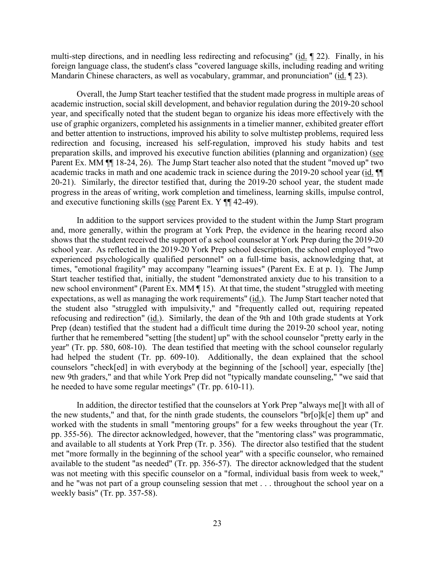multi-step directions, and in needling less redirecting and refocusing" (id. 1 22). Finally, in his Mandarin Chinese characters, as well as vocabulary, grammar, and pronunciation" (id. 123). foreign language class, the student's class "covered language skills, including reading and writing

preparation skills, and improved his executive function abilities (planning and organization) (see Parent Ex. MM  $\P$  18-24, 26). The Jump Start teacher also noted that the student "moved up" two 20-21). Similarly, the director testified that, during the 2019-20 school year, the student made progress in the areas of writing, work completion and timeliness, learning skills, impulse control, and executive functioning skills (see Parent Ex. Y ¶¶ 42-49). Overall, the Jump Start teacher testified that the student made progress in multiple areas of academic instruction, social skill development, and behavior regulation during the 2019-20 school year, and specifically noted that the student began to organize his ideas more effectively with the use of graphic organizers, completed his assignments in a timelier manner, exhibited greater effort and better attention to instructions, improved his ability to solve multistep problems, required less redirection and focusing, increased his self-regulation, improved his study habits and test academic tracks in math and one academic track in science during the 2019-20 school year (id. ¶¶

 school year. As reflected in the 2019-20 York Prep school description, the school employed "two times, "emotional fragility" may accompany "learning issues" (Parent Ex. E at p. 1). The Jump expectations, as well as managing the work requirements" (id.). The Jump Start teacher noted that refocusing and redirection" (id.). Similarly, the dean of the 9th and 10th grade students at York further that he remembered "setting [the student] up" with the school counselor "pretty early in the had helped the student (Tr. pp. 609-10). Additionally, the dean explained that the school counselors "check[ed] in with everybody at the beginning of the [school] year, especially [the] In addition to the support services provided to the student within the Jump Start program and, more generally, within the program at York Prep, the evidence in the hearing record also shows that the student received the support of a school counselor at York Prep during the 2019-20 experienced psychologically qualified personnel" on a full-time basis, acknowledging that, at Start teacher testified that, initially, the student "demonstrated anxiety due to his transition to a new school environment" (Parent Ex. MM ¶ 15). At that time, the student "struggled with meeting the student also "struggled with impulsivity," and "frequently called out, requiring repeated Prep (dean) testified that the student had a difficult time during the 2019-20 school year, noting year" (Tr. pp. 580, 608-10). The dean testified that meeting with the school counselor regularly new 9th graders," and that while York Prep did not "typically mandate counseling," "we said that he needed to have some regular meetings" (Tr. pp. 610-11).

 In addition, the director testified that the counselors at York Prep "always me[]t with all of worked with the students in small "mentoring groups" for a few weeks throughout the year (Tr. pp. 355-56). The director acknowledged, however, that the "mentoring class" was programmatic, the new students," and that, for the ninth grade students, the counselors "br[o]k[e] them up" and and available to all students at York Prep (Tr. p. 356). The director also testified that the student met "more formally in the beginning of the school year" with a specific counselor, who remained available to the student "as needed" (Tr. pp. 356-57). The director acknowledged that the student was not meeting with this specific counselor on a "formal, individual basis from week to week," and he "was not part of a group counseling session that met . . . throughout the school year on a weekly basis" (Tr. pp. 357-58).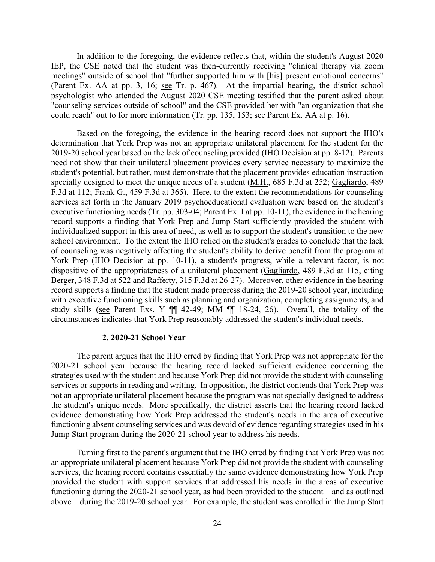(Parent Ex. AA at pp. 3, 16; see Tr. p. 467). At the impartial hearing, the district school could reach" out to for more information (Tr. pp. 135, 153; see Parent Ex. AA at p. 16). In addition to the foregoing, the evidence reflects that, within the student's August 2020 IEP, the CSE noted that the student was then-currently receiving "clinical therapy via zoom meetings" outside of school that "further supported him with [his] present emotional concerns" psychologist who attended the August 2020 CSE meeting testified that the parent asked about "counseling services outside of school" and the CSE provided her with "an organization that she

 Based on the foregoing, the evidence in the hearing record does not support the IHO's specially designed to meet the unique needs of a student (M.H., 685 F.3d at 252; Gagliardo, 489 school environment. To the extent the IHO relied on the student's grades to conclude that the lack dispositive of the appropriateness of a unilateral placement (Gagliardo, 489 F.3d at 115, citing study skills (see Parent Exs. Y ¶¶ 42-49; MM ¶¶ 18-24, 26). Overall, the totality of the determination that York Prep was not an appropriate unilateral placement for the student for the 2019-20 school year based on the lack of counseling provided (IHO Decision at pp. 8-12). Parents need not show that their unilateral placement provides every service necessary to maximize the student's potential, but rather, must demonstrate that the placement provides education instruction F.3d at 112; Frank G., 459 F.3d at 365). Here, to the extent the recommendations for counseling services set forth in the January 2019 psychoeducational evaluation were based on the student's executive functioning needs (Tr. pp. 303-04; Parent Ex. I at pp. 10-11), the evidence in the hearing record supports a finding that York Prep and Jump Start sufficiently provided the student with individualized support in this area of need, as well as to support the student's transition to the new of counseling was negatively affecting the student's ability to derive benefit from the program at York Prep (IHO Decision at pp. 10-11), a student's progress, while a relevant factor, is not Berger, 348 F.3d at 522 and Rafferty, 315 F.3d at 26-27). Moreover, other evidence in the hearing record supports a finding that the student made progress during the 2019-20 school year, including with executive functioning skills such as planning and organization, completing assignments, and circumstances indicates that York Prep reasonably addressed the student's individual needs.

#### **2. 2020-21 School Year**

 The parent argues that the IHO erred by finding that York Prep was not appropriate for the services or supports in reading and writing. In opposition, the district contends that York Prep was Jump Start program during the 2020-21 school year to address his needs. 2020-21 school year because the hearing record lacked sufficient evidence concerning the strategies used with the student and because York Prep did not provide the student with counseling not an appropriate unilateral placement because the program was not specially designed to address the student's unique needs. More specifically, the district asserts that the hearing record lacked evidence demonstrating how York Prep addressed the student's needs in the area of executive functioning absent counseling services and was devoid of evidence regarding strategies used in his

 above—during the 2019-20 school year. For example, the student was enrolled in the Jump Start Turning first to the parent's argument that the IHO erred by finding that York Prep was not an appropriate unilateral placement because York Prep did not provide the student with counseling services, the hearing record contains essentially the same evidence demonstrating how York Prep provided the student with support services that addressed his needs in the areas of executive functioning during the 2020-21 school year, as had been provided to the student—and as outlined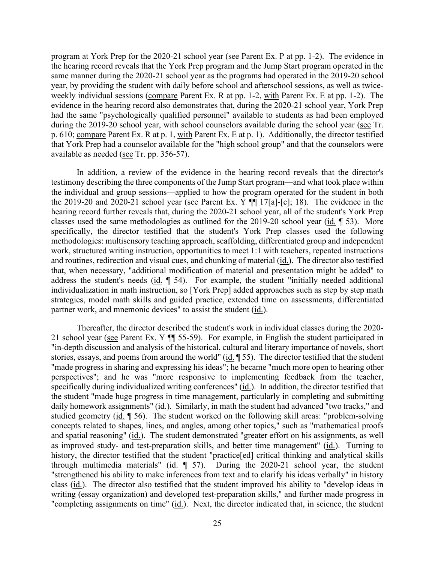program at York Prep for the 2020-21 school year (see Parent Ex. P at pp. 1-2). The evidence in same manner during the 2020-21 school year as the programs had operated in the 2019-20 school weekly individual sessions (compare Parent Ex. R at pp. 1-2, with Parent Ex. E at pp. 1-2). The during the 2019-20 school year, with school counselors available during the school year (see Tr. the hearing record reveals that the York Prep program and the Jump Start program operated in the year, by providing the student with daily before school and afterschool sessions, as well as twiceevidence in the hearing record also demonstrates that, during the 2020-21 school year, York Prep had the same "psychologically qualified personnel" available to students as had been employed p. 610; compare Parent Ex. R at p. 1, with Parent Ex. E at p. 1). Additionally, the director testified that York Prep had a counselor available for the "high school group" and that the counselors were available as needed (see Tr. pp. 356-57).

 the individual and group sessions—applied to how the program operated for the student in both the 2019-20 and 2020-21 school year (see Parent Ex. Y  $\P$  17[a]-[c]; 18). The evidence in the that, when necessary, "additional modification of material and presentation might be added" to individualization in math instruction, so [York Prep] added approaches such as step by step math In addition, a review of the evidence in the hearing record reveals that the director's testimony describing the three components of the Jump Start program—and what took place within hearing record further reveals that, during the 2020-21 school year, all of the student's York Prep classes used the same methodologies as outlined for the 2019-20 school year (id. ¶ 53). More specifically, the director testified that the student's York Prep classes used the following methodologies: multisensory teaching approach, scaffolding, differentiated group and independent work, structured writing instruction, opportunities to meet 1:1 with teachers, repeated instructions and routines, redirection and visual cues, and chunking of material (id.). The director also testified address the student's needs (id. ¶ 54). For example, the student "initially needed additional strategies, model math skills and guided practice, extended time on assessments, differentiated partner work, and mnemonic devices" to assist the student (id.).

21 school year (see Parent Ex. Y  $\P$  55-59). For example, in English the student participated in specifically during individualized writing conferences" (id.). In addition, the director testified that daily homework assignments" (id.). Similarly, in math the student had advanced "two tracks," and and spatial reasoning" (id.). The student demonstrated "greater effort on his assignments, as well Thereafter, the director described the student's work in individual classes during the 2020- "in-depth discussion and analysis of the historical, cultural and literary importance of novels, short stories, essays, and poems from around the world" (id. ¶ 55). The director testified that the student "made progress in sharing and expressing his ideas"; he became "much more open to hearing other perspectives"; and he was "more responsive to implementing feedback from the teacher, the student "made huge progress in time management, particularly in completing and submitting studied geometry (id.  $\parallel$  56). The student worked on the following skill areas: "problem-solving concepts related to shapes, lines, and angles, among other topics," such as "mathematical proofs as improved study- and test-preparation skills, and better time management" (id.). Turning to history, the director testified that the student "practice[ed] critical thinking and analytical skills through multimedia materials" (id.  $\parallel$  57). During the 2020-21 school year, the student "strengthened his ability to make inferences from text and to clarify his ideas verbally" in history class (id.). The director also testified that the student improved his ability to "develop ideas in writing (essay organization) and developed test-preparation skills," and further made progress in "completing assignments on time" (id.). Next, the director indicated that, in science, the student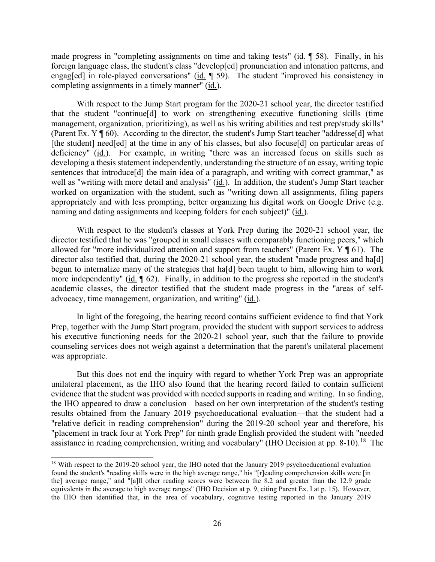made progress in "completing assignments on time and taking tests" (id.  $\parallel$  58). Finally, in his foreign language class, the student's class "develop[ed] pronunciation and intonation patterns, and engag[ed] in role-played conversations" (id. ¶ 59). The student "improved his consistency in completing assignments in a timely manner" (id.).

well as "writing with more detail and analysis" (id.). In addition, the student's Jump Start teacher With respect to the Jump Start program for the 2020-21 school year, the director testified that the student "continue[d] to work on strengthening executive functioning skills (time management, organization, prioritizing), as well as his writing abilities and test prep/study skills" (Parent Ex. Y ¶ 60). According to the director, the student's Jump Start teacher "addresse[d] what [the student] need[ed] at the time in any of his classes, but also focuse[d] on particular areas of deficiency" (id.). For example, in writing "there was an increased focus on skills such as developing a thesis statement independently, understanding the structure of an essay, writing topic sentences that introduce<sup>[d]</sup> the main idea of a paragraph, and writing with correct grammar," as worked on organization with the student, such as "writing down all assignments, filing papers appropriately and with less prompting, better organizing his digital work on Google Drive (e.g. naming and dating assignments and keeping folders for each subject)" (id.).

advocacy, time management, organization, and writing" (id.). With respect to the student's classes at York Prep during the 2020-21 school year, the director testified that he was "grouped in small classes with comparably functioning peers," which allowed for "more individualized attention and support from teachers" (Parent Ex. Y ¶ 61). The director also testified that, during the 2020-21 school year, the student "made progress and ha[d] begun to internalize many of the strategies that ha[d] been taught to him, allowing him to work more independently" (id. ¶ 62). Finally, in addition to the progress she reported in the student's academic classes, the director testified that the student made progress in the "areas of self-

 counseling services does not weigh against a determination that the parent's unilateral placement In light of the foregoing, the hearing record contains sufficient evidence to find that York Prep, together with the Jump Start program, provided the student with support services to address his executive functioning needs for the 2020-21 school year, such that the failure to provide was appropriate.

 evidence that the student was provided with needed supports in reading and writing. In so finding, the IHO appeared to draw a conclusion—based on her own interpretation of the student's testing results obtained from the January 2019 psychoeducational evaluation—that the student had a assistance in reading comprehension, writing and vocabulary" (IHO Decision at pp. 8-10).<sup>[18](#page-25-0)</sup> The But this does not end the inquiry with regard to whether York Prep was an appropriate unilateral placement, as the IHO also found that the hearing record failed to contain sufficient "relative deficit in reading comprehension" during the 2019-20 school year and therefore, his "placement in track four at York Prep" for ninth grade English provided the student with "needed

<span id="page-25-0"></span> equivalents in the average to high average ranges" (IHO Decision at p. 9, citing Parent Ex. I at p. 15). However, <sup>18</sup> With respect to the 2019-20 school year, the IHO noted that the January 2019 psychoeducational evaluation found the student's "reading skills were in the high average range," his "[r]eading comprehension skills were [in the] average range," and "[a]ll other reading scores were between the 8.2 and greater than the 12.9 grade the IHO then identified that, in the area of vocabulary, cognitive testing reported in the January 2019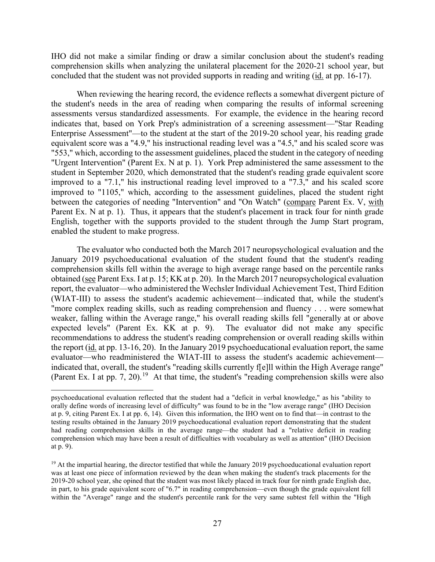concluded that the student was not provided supports in reading and writing (*id.* at pp. 16-17). IHO did not make a similar finding or draw a similar conclusion about the student's reading comprehension skills when analyzing the unilateral placement for the 2020-21 school year, but

 assessments versus standardized assessments. For example, the evidence in the hearing record indicates that, based on York Prep's administration of a screening assessment—"Star Reading "553," which, according to the assessment guidelines, placed the student in the category of needing between the categories of needing "Intervention" and "On Watch" (compare Parent Ex. V, with Parent Ex. N at p. 1). Thus, it appears that the student's placement in track four for ninth grade enabled the student to make progress. When reviewing the hearing record, the evidence reflects a somewhat divergent picture of the student's needs in the area of reading when comparing the results of informal screening Enterprise Assessment"—to the student at the start of the 2019-20 school year, his reading grade equivalent score was a "4.9," his instructional reading level was a "4.5," and his scaled score was "Urgent Intervention" (Parent Ex. N at p. 1). York Prep administered the same assessment to the student in September 2020, which demonstrated that the student's reading grade equivalent score improved to a "7.1," his instructional reading level improved to a "7.3," and his scaled score improved to "1105," which, according to the assessment guidelines, placed the student right English, together with the supports provided to the student through the Jump Start program,

obtained (see Parent Exs. I at p. 15; KK at p. 20). In the March 2017 neuropsychological evaluation weaker, falling within the Average range," his overall reading skills fell "generally at or above the report (id. at pp. 13-16, 20). In the January 2019 psychoeducational evaluation report, the same (Parent Ex. I at pp. 7, 20).<sup>19</sup> At that time, the student's "reading comprehension skills were also The evaluator who conducted both the March 2017 neuropsychological evaluation and the January 2019 psychoeducational evaluation of the student found that the student's reading comprehension skills fell within the average to high average range based on the percentile ranks report, the evaluator—who administered the Wechsler Individual Achievement Test, Third Edition (WIAT-III) to assess the student's academic achievement—indicated that, while the student's "more complex reading skills, such as reading comprehension and fluency . . . were somewhat expected levels" (Parent Ex. KK at p. 9). The evaluator did not make any specific recommendations to address the student's reading comprehension or overall reading skills within evaluator—who readministered the WIAT-III to assess the student's academic achievement indicated that, overall, the student's "reading skills currently f[e]ll within the High Average range"

 at p. 9, citing Parent Ex. I at pp. 6, 14). Given this information, the IHO went on to find that—in contrast to the psychoeducational evaluation reflected that the student had a "deficit in verbal knowledge," as his "ability to orally define words of increasing level of difficulty" was found to be in the "low average range" (IHO Decision testing results obtained in the January 2019 psychoeducational evaluation report demonstrating that the student had reading comprehension skills in the average range—the student had a "relative deficit in reading comprehension which may have been a result of difficulties with vocabulary as well as attention" (IHO Decision at p. 9).

<span id="page-26-0"></span> was at least one piece of information reviewed by the dean when making the student's track placements for the within the "Average" range and the student's percentile rank for the very same subtest fell within the "High <sup>19</sup> At the impartial hearing, the director testified that while the January 2019 psychoeducational evaluation report 2019-20 school year, she opined that the student was most likely placed in track four for ninth grade English due, in part, to his grade equivalent score of "6.7" in reading comprehension—even though the grade equivalent fell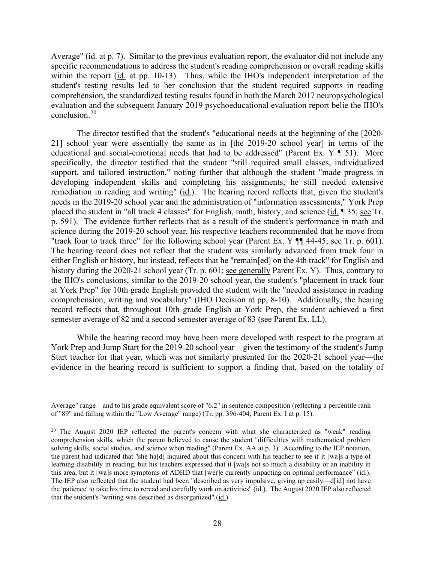Average" (id. at p. 7). Similar to the previous evaluation report, the evaluator did not include any student's testing results led to her conclusion that the student required supports in reading specific recommendations to address the student's reading comprehension or overall reading skills within the report (id. at pp. 10-13). Thus, while the IHO's independent interpretation of the comprehension, the standardized testing results found in both the March 2017 neuropsychological evaluation and the subsequent January 2019 psychoeducational evaluation report belie the IHO's conclusion.[20](#page-27-0) 

 needs in the 2019-20 school year and the administration of "information assessments," York Prep "track four to track three" for the following school year (Parent Ex.  $Y \parallel 44-45$ ; see Tr. p. 601). history during the 2020-21 school year (Tr. p. 601; see generally Parent Ex. Y). Thus, contrary to The director testified that the student's "educational needs at the beginning of the [2020- 21] school year were essentially the same as in [the 2019-20 school year] in terms of the educational and social-emotional needs that had to be addressed" (Parent Ex. Y ¶ 51). More specifically, the director testified that the student "still required small classes, individualized support, and tailored instruction," noting further that although the student "made progress in developing independent skills and completing his assignments, he still needed extensive remediation in reading and writing" (id.). The hearing record reflects that, given the student's placed the student in "all track 4 classes" for English, math, history, and science (id. ¶ 35; see Tr. p. 591). The evidence further reflects that as a result of the student's performance in math and science during the 2019-20 school year, his respective teachers recommended that he move from The hearing record does not reflect that the student was similarly advanced from track four in either English or history, but instead, reflects that he "remain[ed] on the 4th track" for English and the IHO's conclusions, similar to the 2019-20 school year, the student's "placement in track four at York Prep" for 10th grade English provided the student with the "needed assistance in reading comprehension, writing and vocabulary" (IHO Decision at pp, 8-10). Additionally, the hearing record reflects that, throughout 10th grade English at York Prep, the student achieved a first semester average of 82 and a second semester average of 83 (see Parent Ex. LL).

 York Prep and Jump Start for the 2019-20 school year—given the testimony of the student's Jump While the hearing record may have been more developed with respect to the program at Start teacher for that year, which was not similarly presented for the 2020-21 school year—the evidence in the hearing record is sufficient to support a finding that, based on the totality of

 of "89" and falling within the "Low Average" range) (Tr. pp. 396-404; Parent Ex. I at p. 15). Average" range—and to his grade equivalent score of "6.2" in sentence composition (reflecting a percentile rank

<span id="page-27-0"></span> the parent had indicated that "she ha[d] inquired about this concern with his teacher to see if it [wa]s a type of learning disability in reading, but his teachers expressed that it [wa]s not so much a disability or an inability in The IEP also reflected that the student had been "described as very impulsive, giving up easily—d[id] not have <sup>20</sup> The August 2020 IEP reflected the parent's concern with what she characterized as "weak" reading comprehension skills, which the parent believed to cause the student "difficulties with mathematical problem solving skills, social studies, and science when reading" (Parent Ex. AA at p. 3). According to the IEP notation, this area, but it [wa]s more symptoms of ADHD that [wer]e currently impacting on optimal performance" (id.). the 'patience' to take his time to reread and carefully work on activities" (id.). The August 2020 IEP also reflected that the student's "writing was described as disorganized" (id.).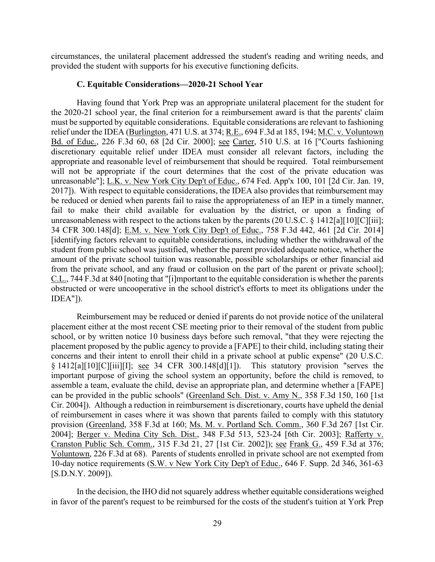circumstances, the unilateral placement addressed the student's reading and writing needs, and provided the student with supports for his executive functioning deficits.

#### **C. Equitable Considerations—2020-21 School Year**

 Having found that York Prep was an appropriate unilateral placement for the student for the 2020-21 school year, the final criterion for a reimbursement award is that the parents' claim discretionary equitable relief under IDEA must consider all relevant factors, including the must be supported by equitable considerations. Equitable considerations are relevant to fashioning relief under the IDEA (Burlington, 471 U.S. at 374; R.E., 694 F.3d at 185, 194; M.C. v. Voluntown Bd. of Educ., 226 F.3d 60, 68 [2d Cir. 2000]; see Carter, 510 U.S. at 16 ["Courts fashioning appropriate and reasonable level of reimbursement that should be required. Total reimbursement will not be appropriate if the court determines that the cost of the private education was unreasonable"]; L.K. v. New York City Dep't of Educ., 674 Fed. App'x 100, 101 [2d Cir. Jan. 19, 2017]). With respect to equitable considerations, the IDEA also provides that reimbursement may be reduced or denied when parents fail to raise the appropriateness of an IEP in a timely manner, fail to make their child available for evaluation by the district, or upon a finding of unreasonableness with respect to the actions taken by the parents  $(20 \text{ U.S.C.} \S 1412\text{a} \text{F10} \text{F1} \text{C} \text{F1} \text{ii} \text{F1})$ ; 34 CFR 300.148[d]; E.M. v. New York City Dep't of Educ., 758 F.3d 442, 461 [2d Cir. 2014] [identifying factors relevant to equitable considerations, including whether the withdrawal of the student from public school was justified, whether the parent provided adequate notice, whether the amount of the private school tuition was reasonable, possible scholarships or other financial aid from the private school, and any fraud or collusion on the part of the parent or private school]; C.L., 744 F.3d at 840 [noting that "[i]mportant to the equitable consideration is whether the parents obstructed or were uncooperative in the school district's efforts to meet its obligations under the IDEA"]).

 concerns and their intent to enroll their child in a private school at public expense" (20 U.S.C. assemble a team, evaluate the child, devise an appropriate plan, and determine whether a [FAPE] 2004]; Berger v. Medina City Sch. Dist., 348 F.3d 513, 523-24 [6th Cir. 2003]; Rafferty v. Voluntown, 226 F.3d at 68). Parents of students enrolled in private school are not exempted from Reimbursement may be reduced or denied if parents do not provide notice of the unilateral placement either at the most recent CSE meeting prior to their removal of the student from public school, or by written notice 10 business days before such removal, "that they were rejecting the placement proposed by the public agency to provide a [FAPE] to their child, including stating their § 1412[a][10][C][iii][I]; see 34 CFR 300.148[d][1]). This statutory provision "serves the important purpose of giving the school system an opportunity, before the child is removed, to can be provided in the public schools" (Greenland Sch. Dist. v. Amy N., 358 F.3d 150, 160 [1st Cir. 2004]). Although a reduction in reimbursement is discretionary, courts have upheld the denial of reimbursement in cases where it was shown that parents failed to comply with this statutory provision (Greenland, 358 F.3d at 160; Ms. M. v. Portland Sch. Comm., 360 F.3d 267 [1st Cir. Cranston Public Sch. Comm., 315 F.3d 21, 27 [1st Cir. 2002]); see Frank G., 459 F.3d at 376; 10-day notice requirements (S.W. v New York City Dep't of Educ., 646 F. Supp. 2d 346, 361-63 [S.D.N.Y. 2009]).

In the decision, the IHO did not squarely address whether equitable considerations weighed in favor of the parent's request to be reimbursed for the costs of the student's tuition at York Prep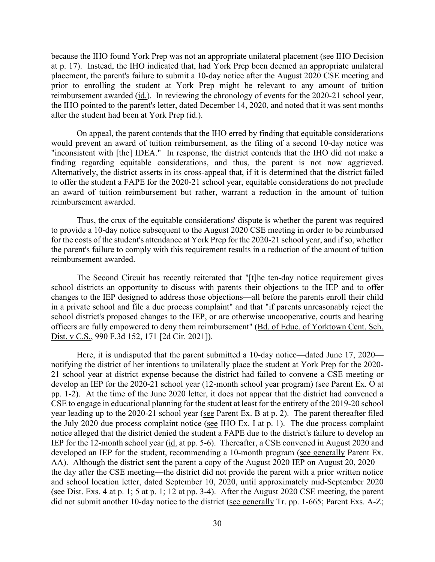placement, the parent's failure to submit a 10-day notice after the August 2020 CSE meeting and because the IHO found York Prep was not an appropriate unilateral placement (see IHO Decision at p. 17). Instead, the IHO indicated that, had York Prep been deemed an appropriate unilateral prior to enrolling the student at York Prep might be relevant to any amount of tuition reimbursement awarded (id.). In reviewing the chronology of events for the 2020-21 school year, the IHO pointed to the parent's letter, dated December 14, 2020, and noted that it was sent months after the student had been at York Prep (id.).

 On appeal, the parent contends that the IHO erred by finding that equitable considerations "inconsistent with [the] IDEA." In response, the district contends that the IHO did not make a finding regarding equitable considerations, and thus, the parent is not now aggrieved. would prevent an award of tuition reimbursement, as the filing of a second 10-day notice was Alternatively, the district asserts in its cross-appeal that, if it is determined that the district failed to offer the student a FAPE for the 2020-21 school year, equitable considerations do not preclude an award of tuition reimbursement but rather, warrant a reduction in the amount of tuition reimbursement awarded.

 to provide a 10-day notice subsequent to the August 2020 CSE meeting in order to be reimbursed Thus, the crux of the equitable considerations' dispute is whether the parent was required for the costs of the student's attendance at York Prep for the 2020-21 school year, and if so, whether the parent's failure to comply with this requirement results in a reduction of the amount of tuition reimbursement awarded.

 The Second Circuit has recently reiterated that "[t]he ten-day notice requirement gives Dist. v C.S., 990 F.3d 152, 171 [2d Cir. 2021]). school districts an opportunity to discuss with parents their objections to the IEP and to offer changes to the IEP designed to address those objections—all before the parents enroll their child in a private school and file a due process complaint" and that "if parents unreasonably reject the school district's proposed changes to the IEP, or are otherwise uncooperative, courts and hearing officers are fully empowered to deny them reimbursement" (Bd. of Educ. of Yorktown Cent. Sch.

 pp. 1-2). At the time of the June 2020 letter, it does not appear that the district had convened a year leading up to the 2020-21 school year (see Parent Ex. B at p. 2). The parent thereafter filed IEP for the 12-month school year (id. at pp. 5-6). Thereafter, a CSE convened in August 2020 and AA). Although the district sent the parent a copy of the August 2020 IEP on August 20, 2020— (see Dist. Exs. 4 at p. 1; 5 at p. 1; 12 at pp. 3-4). After the August 2020 CSE meeting, the parent Here, it is undisputed that the parent submitted a 10-day notice—dated June 17, 2020 notifying the district of her intentions to unilaterally place the student at York Prep for the 2020- 21 school year at district expense because the district had failed to convene a CSE meeting or develop an IEP for the 2020-21 school year (12-month school year program) (see Parent Ex. O at CSE to engage in educational planning for the student at least for the entirety of the 2019-20 school the July 2020 due process complaint notice (see IHO Ex. I at p. 1). The due process complaint notice alleged that the district denied the student a FAPE due to the district's failure to develop an developed an IEP for the student, recommending a 10-month program (see generally Parent Ex. the day after the CSE meeting—the district did not provide the parent with a prior written notice and school location letter, dated September 10, 2020, until approximately mid-September 2020 did not submit another 10-day notice to the district (see generally Tr. pp. 1-665; Parent Exs. A-Z;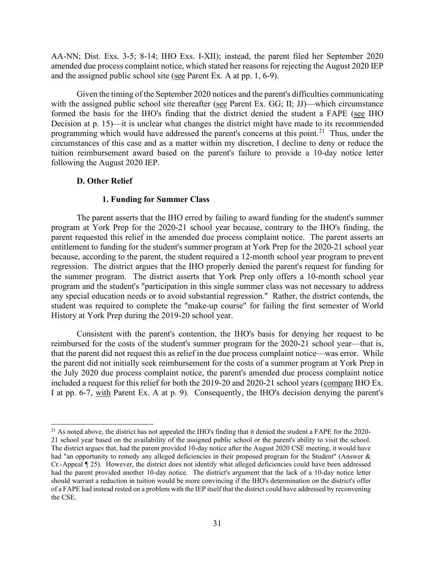AA-NN; Dist. Exs. 3-5; 8-14; IHO Exs. I-XII); instead, the parent filed her September 2020 and the assigned public school site (see Parent Ex. A at pp.  $1, 6-9$ ). amended due process complaint notice, which stated her reasons for rejecting the August 2020 IEP

 Given the timing of the September 2020 notices and the parent's difficulties communicating with the assigned public school site thereafter (see Parent Ex. GG; II; JJ)—which circumstance formed the basis for the IHO's finding that the district denied the student a FAPE (see IHO programming which would have addressed the parent's concerns at this point.<sup>[21](#page-30-0)</sup> Thus, under the Decision at p. 15)—it is unclear what changes the district might have made to its recommended circumstances of this case and as a matter within my discretion, I decline to deny or reduce the tuition reimbursement award based on the parent's failure to provide a 10-day notice letter following the August 2020 IEP.

# **D. Other Relief**

# **1. Funding for Summer Class**

 regression. The district argues that the IHO properly denied the parent's request for funding for The parent asserts that the IHO erred by failing to award funding for the student's summer program at York Prep for the 2020-21 school year because, contrary to the IHO's finding, the parent requested this relief in the amended due process complaint notice. The parent asserts an entitlement to funding for the student's summer program at York Prep for the 2020-21 school year because, according to the parent, the student required a 12-month school year program to prevent the summer program. The district asserts that York Prep only offers a 10-month school year program and the student's "participation in this single summer class was not necessary to address any special education needs or to avoid substantial regression." Rather, the district contends, the student was required to complete the "make-up course" for failing the first semester of World History at York Prep during the 2019-20 school year.

I at pp. 6-7, with Parent Ex. A at p. 9). Consequently, the IHO's decision denying the parent's Consistent with the parent's contention, the IHO's basis for denying her request to be reimbursed for the costs of the student's summer program for the 2020-21 school year—that is, that the parent did not request this as relief in the due process complaint notice—was error. While the parent did not initially seek reimbursement for the costs of a summer program at York Prep in the July 2020 due process complaint notice, the parent's amended due process complaint notice included a request for this relief for both the 2019-20 and 2020-21 school years (compare IHO Ex.

<span id="page-30-0"></span> The district argues that, had the parent provided 10-day notice after the August 2020 CSE meeting, it would have had "an opportunity to remedy any alleged deficiencies in their proposed program for the Student" (Answer & had the parent provided another 10-day notice. The district's argument that the lack of a 10-day notice letter  $^{21}$  As noted above, the district has not appealed the IHO's finding that it denied the student a FAPE for the 2020-21 school year based on the availability of the assigned public school or the parent's ability to visit the school. Cr.-Appeal ¶ 25). However, the district does not identify what alleged deficiencies could have been addressed should warrant a reduction in tuition would be more convincing if the IHO's determination on the district's offer of a FAPE had instead rested on a problem with the IEP itself that the district could have addressed by reconvening the CSE.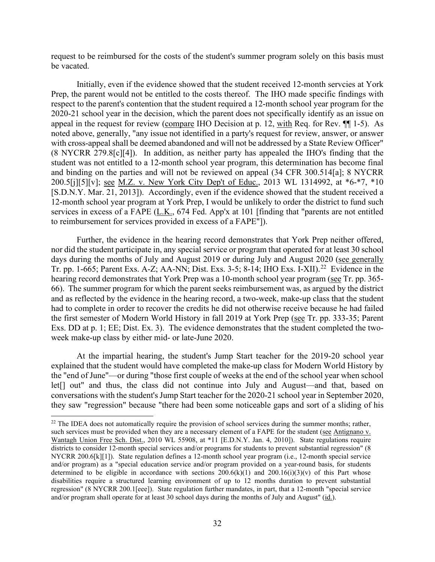request to be reimbursed for the costs of the student's summer program solely on this basis must be vacated.

 Initially, even if the evidence showed that the student received 12-month servcies at York appeal in the request for review (compare IHO Decision at p. 12, with Req. for Rev.  $\P$  1-5). As student was not entitled to a 12-month school year program, this determination has become final Prep, the parent would not be entitled to the costs thereof. The IHO made specific findings with respect to the parent's contention that the student required a 12-month school year program for the 2020-21 school year in the decision, which the parent does not specifically identify as an issue on noted above, generally, "any issue not identified in a party's request for review, answer, or answer with cross-appeal shall be deemed abandoned and will not be addressed by a State Review Officer" (8 NYCRR 279.8[c][4]). In addition, as neither party has appealed the IHO's finding that the and binding on the parties and will not be reviewed on appeal (34 CFR 300.514[a]; 8 NYCRR 200.5[j][5][v]; see M.Z. v. New York City Dep't of Educ., 2013 WL 1314992, at \*6-\*7, \*10 [S.D.N.Y. Mar. 21, 2013]). Accordingly, even if the evidence showed that the student received a 12-month school year program at York Prep, I would be unlikely to order the district to fund such services in excess of a FAPE (L.K., 674 Fed. App'x at 101 [finding that "parents are not entitled to reimbursement for services provided in excess of a FAPE"]).

Tr. pp. 1-665; Parent Exs. A-Z; AA-NN; Dist. Exs. 3-5; 8-14; IHO Exs. I-XII).<sup>22</sup> Evidence in the had to complete in order to recover the credits he did not otherwise receive because he had failed Further, the evidence in the hearing record demonstrates that York Prep neither offered, nor did the student participate in, any special service or program that operated for at least 30 school days during the months of July and August 2019 or during July and August 2020 (see generally hearing record demonstrates that York Prep was a 10-month school year program (see Tr. pp. 365- 66). The summer program for which the parent seeks reimbursement was, as argued by the district and as reflected by the evidence in the hearing record, a two-week, make-up class that the student the first semester of Modern World History in fall 2019 at York Prep (see Tr. pp. 333-35; Parent Exs. DD at p. 1; EE; Dist. Ex. 3). The evidence demonstrates that the student completed the twoweek make-up class by either mid- or late-June 2020.

 the "end of June"—or during "those first couple of weeks at the end of the school year when school At the impartial hearing, the student's Jump Start teacher for the 2019-20 school year explained that the student would have completed the make-up class for Modern World History by let[] out" and thus, the class did not continue into July and August—and that, based on conversations with the student's Jump Start teacher for the 2020-21 school year in September 2020, they saw "regression" because "there had been some noticeable gaps and sort of a sliding of his

<span id="page-31-0"></span> Wantagh Union Free Sch. Dist., 2010 WL 55908, at \*11 [E.D.N.Y. Jan. 4, 2010]). State regulations require NYCRR 200.6[k][1]). State regulation defines a 12-month school year program (i.e., 12-month special service and/or program) as a "special education service and/or program provided on a year-round basis, for students <sup>22</sup> The IDEA does not automatically require the provision of school services during the summer months; rather, such services must be provided when they are a necessary element of a FAPE for the student (see Antignano v. districts to consider 12-month special services and/or programs for students to prevent substantial regression" (8) determined to be eligible in accordance with sections  $200.6(k)(1)$  and  $200.16(i)(3)(v)$  of this Part whose disabilities require a structured learning environment of up to 12 months duration to prevent substantial regression" (8 NYCRR 200.1[eee]). State regulation further mandates, in part, that a 12-month "special service and/or program shall operate for at least 30 school days during the months of July and August" (id.).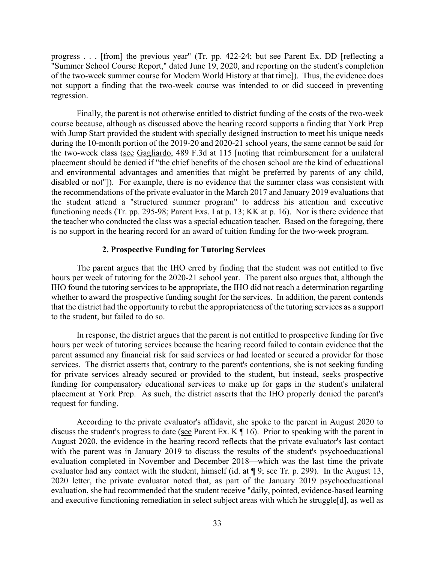progress . . . [from] the previous year" (Tr. pp. 422-24; but see Parent Ex. DD [reflecting a "Summer School Course Report," dated June 19, 2020, and reporting on the student's completion of the two-week summer course for Modern World History at that time]). Thus, the evidence does not support a finding that the two-week course was intended to or did succeed in preventing regression.

 Finally, the parent is not otherwise entitled to district funding of the costs of the two-week the recommendations of the private evaluator in the March 2017 and January 2019 evaluations that functioning needs (Tr. pp. 295-98; Parent Exs. I at p. 13; KK at p. 16). Nor is there evidence that course because, although as discussed above the hearing record supports a finding that York Prep with Jump Start provided the student with specially designed instruction to meet his unique needs during the 10-month portion of the 2019-20 and 2020-21 school years, the same cannot be said for the two-week class (see Gagliardo, 489 F.3d at 115 [noting that reimbursement for a unilateral placement should be denied if "the chief benefits of the chosen school are the kind of educational and environmental advantages and amenities that might be preferred by parents of any child, disabled or not"]). For example, there is no evidence that the summer class was consistent with the student attend a "structured summer program" to address his attention and executive the teacher who conducted the class was a special education teacher. Based on the foregoing, there is no support in the hearing record for an award of tuition funding for the two-week program.

# **2. Prospective Funding for Tutoring Services**

 The parent argues that the IHO erred by finding that the student was not entitled to five IHO found the tutoring services to be appropriate, the IHO did not reach a determination regarding whether to award the prospective funding sought for the services. In addition, the parent contends hours per week of tutoring for the 2020-21 school year. The parent also argues that, although the that the district had the opportunity to rebut the appropriateness of the tutoring services as a support to the student, but failed to do so.

 request for funding. In response, the district argues that the parent is not entitled to prospective funding for five hours per week of tutoring services because the hearing record failed to contain evidence that the parent assumed any financial risk for said services or had located or secured a provider for those services. The district asserts that, contrary to the parent's contentions, she is not seeking funding for private services already secured or provided to the student, but instead, seeks prospective funding for compensatory educational services to make up for gaps in the student's unilateral placement at York Prep. As such, the district asserts that the IHO properly denied the parent's

 August 2020, the evidence in the hearing record reflects that the private evaluator's last contact evaluator had any contact with the student, himself ( $\underline{id}$  at  $\P$  9; <u>see</u> Tr. p. 299). In the August 13, According to the private evaluator's affidavit, she spoke to the parent in August 2020 to discuss the student's progress to date (see Parent Ex.  $K \parallel 16$ ). Prior to speaking with the parent in with the parent was in January 2019 to discuss the results of the student's psychoeducational evaluation completed in November and December 2018—which was the last time the private 2020 letter, the private evaluator noted that, as part of the January 2019 psychoeducational evaluation, she had recommended that the student receive "daily, pointed, evidence-based learning and executive functioning remediation in select subject areas with which he struggle[d], as well as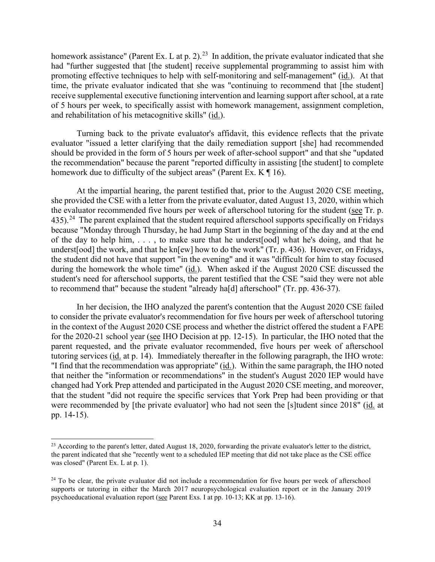homework assistance" (Parent Ex. L at p. 2).<sup>23</sup> In addition, the private evaluator indicated that she receive supplemental executive functioning intervention and learning support after school, at a rate had "further suggested that [the student] receive supplemental programming to assist him with promoting effective techniques to help with self-monitoring and self-management" (id.). At that time, the private evaluator indicated that she was "continuing to recommend that [the student] of 5 hours per week, to specifically assist with homework management, assignment completion, and rehabilitation of his metacognitive skills" (id.).

Turning back to the private evaluator's affidavit, this evidence reflects that the private evaluator "issued a letter clarifying that the daily remediation support [she] had recommended should be provided in the form of 5 hours per week of after-school support" and that she "updated the recommendation" because the parent "reported difficulty in assisting [the student] to complete homework due to difficulty of the subject areas" (Parent Ex.  $K \P 16$ ).

435).<sup>24</sup> The parent explained that the student required afterschool supports specifically on Fridays At the impartial hearing, the parent testified that, prior to the August 2020 CSE meeting, she provided the CSE with a letter from the private evaluator, dated August 13, 2020, within which the evaluator recommended five hours per week of afterschool tutoring for the student (see Tr. p. because "Monday through Thursday, he had Jump Start in the beginning of the day and at the end of the day to help him, . . . , to make sure that he underst[ood] what he's doing, and that he underst[ood] the work, and that he kn[ew] how to do the work" (Tr. p. 436). However, on Fridays, the student did not have that support "in the evening" and it was "difficult for him to stay focused during the homework the whole time" (id.). When asked if the August 2020 CSE discussed the student's need for afterschool supports, the parent testified that the CSE "said they were not able to recommend that" because the student "already ha[d] afterschool" (Tr. pp. 436-37).

 In her decision, the IHO analyzed the parent's contention that the August 2020 CSE failed in the context of the August 2020 CSE process and whether the district offered the student a FAPE parent requested, and the private evaluator recommended, five hours per week of afterschool tutoring services (id. at p. 14). Immediately thereafter in the following paragraph, the IHO wrote: "I find that the recommendation was appropriate" (id.). Within the same paragraph, the IHO noted to consider the private evaluator's recommendation for five hours per week of afterschool tutoring for the 2020-21 school year (see IHO Decision at pp. 12-15). In particular, the IHO noted that the that neither the "information or recommendations" in the student's August 2020 IEP would have changed had York Prep attended and participated in the August 2020 CSE meeting, and moreover, that the student "did not require the specific services that York Prep had been providing or that were recommended by [the private evaluator] who had not seen the [s]tudent since 2018" (id. at pp. 14-15).

<span id="page-33-0"></span> was closed" (Parent Ex. L at p. 1).  $^{23}$  According to the parent's letter, dated August 18, 2020, forwarding the private evaluator's letter to the district, the parent indicated that she "recently went to a scheduled IEP meeting that did not take place as the CSE office

<span id="page-33-1"></span>psychoeducational evaluation report (see Parent Exs. I at pp. 10-13; KK at pp. 13-16). <sup>24</sup> To be clear, the private evaluator did not include a recommendation for five hours per week of afterschool supports or tutoring in either the March 2017 neuropsychological evaluation report or in the January 2019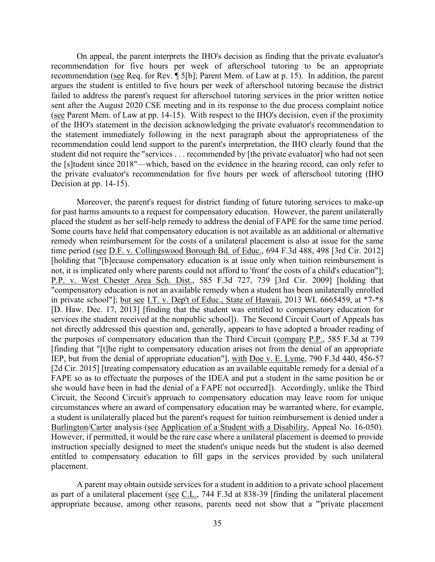recommendation (see Req. for Rev. ¶ 5[b]; Parent Mem. of Law at p. 15). In addition, the parent On appeal, the parent interprets the IHO's decision as finding that the private evaluator's recommendation for five hours per week of afterschool tutoring to be an appropriate argues the student is entitled to five hours per week of afterschool tutoring because the district failed to address the parent's request for afterschool tutoring services in the prior written notice sent after the August 2020 CSE meeting and in its response to the due process complaint notice (see Parent Mem. of Law at pp. 14-15). With respect to the IHO's decision, even if the proximity of the IHO's statement in the decision acknowledging the private evaluator's recommendation to the statement immediately following in the next paragraph about the appropriateness of the recommendation could lend support to the parent's interpretation, the IHO clearly found that the student did not require the "services . . . recommended by [the private evaluator] who had not seen the [s]tudent since 2018"—which, based on the evidence in the hearing record, can only refer to the private evaluator's recommendation for five hours per week of afterschool tutoring (IHO Decision at pp. 14-15).

 placed the student as her self-help remedy to address the denial of FAPE for the same time period. circumstances where an award of compensatory education may be warranted where, for example, Burlington/Carter analysis (see Application of a Student with a Disability, Appeal No. 16-050). Moreover, the parent's request for district funding of future tutoring services to make-up for past harms amounts to a request for compensatory education. However, the parent unilaterally Some courts have held that compensatory education is not available as an additional or alternative remedy when reimbursement for the costs of a unilateral placement is also at issue for the same time period (see D.F. v. Collingswood Borough Bd. of Educ., 694 F.3d 488, 498 [3rd Cir. 2012] [holding that "[b]ecause compensatory education is at issue only when tuition reimbursement is not, it is implicated only where parents could not afford to 'front' the costs of a child's education"]; P.P. v. West Chester Area Sch. Dist., 585 F.3d 727, 739 [3rd Cir. 2009] [holding that "compensatory education is not an available remedy when a student has been unilaterally enrolled in private school"]; but see I.T. v. Dep't of Educ., State of Hawaii, 2013 WL 6665459, at \*7-\*8 [D. Haw. Dec. 17, 2013] [finding that the student was entitled to compensatory education for services the student received at the nonpublic school]). The Second Circuit Court of Appeals has not directly addressed this question and, generally, appears to have adopted a broader reading of the purposes of compensatory education than the Third Circuit (compare P.P., 585 F.3d at 739 [finding that "[t]he right to compensatory education arises not from the denial of an appropriate IEP, but from the denial of appropriate education"], with Doe v. E. Lyme, 790 F.3d 440, 456-57 [2d Cir. 2015] [treating compensatory education as an available equitable remedy for a denial of a FAPE so as to effectuate the purposes of the IDEA and put a student in the same position he or she would have been in had the denial of a FAPE not occurred]). Accordingly, unlike the Third Circuit, the Second Circuit's approach to compensatory education may leave room for unique a student is unilaterally placed but the parent's request for tuition reimbursement is denied under a However, if permitted, it would be the rare case where a unilateral placement is deemed to provide instruction specially designed to meet the student's unique needs but the student is also deemed entitled to compensatory education to fill gaps in the services provided by such unilateral placement.

A parent may obtain outside services for a student in addition to a private school placement as part of a unilateral placement (see C.L., 744 F.3d at 838-39 [finding the unilateral placement appropriate because, among other reasons, parents need not show that a "'private placement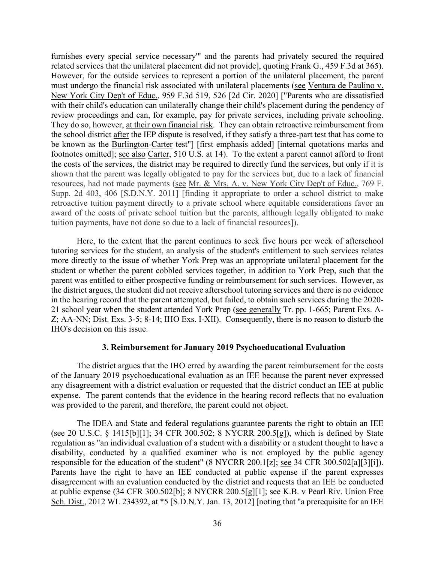related services that the unilateral placement did not provide], quoting Frank G., 459 F.3d at 365). review proceedings and can, for example, pay for private services, including private schooling. the school district after the IEP dispute is resolved, if they satisfy a three-part test that has come to furnishes every special service necessary'" and the parents had privately secured the required However, for the outside services to represent a portion of the unilateral placement, the parent must undergo the financial risk associated with unilateral placements (see Ventura de Paulino v. New York City Dep't of Educ., 959 F.3d 519, 526 [2d Cir. 2020] ["Parents who are dissatisfied with their child's education can unilaterally change their child's placement during the pendency of They do so, however, at their own financial risk. They can obtain retroactive reimbursement from be known as the Burlington-Carter test"] [first emphasis added] [internal quotations marks and footnotes omitted]; <u>see also Carter</u>, 510 U.S. at 14). To the extent a parent cannot afford to front the costs of the services, the district may be required to directly fund the services, but only if it is shown that the parent was legally obligated to pay for the services but, due to a lack of financial resources, had not made payments (see Mr. & Mrs. A. v. New York City Dep't of Educ., 769 F. Supp. 2d 403, 406 [S.D.N.Y. 2011] [finding it appropriate to order a school district to make retroactive tuition payment directly to a private school where equitable considerations favor an award of the costs of private school tuition but the parents, although legally obligated to make tuition payments, have not done so due to a lack of financial resources]).

 Here, to the extent that the parent continues to seek five hours per week of afterschool parent was entitled to either prospective funding or reimbursement for such services. However, as tutoring services for the student, an analysis of the student's entitlement to such services relates more directly to the issue of whether York Prep was an appropriate unilateral placement for the student or whether the parent cobbled services together, in addition to York Prep, such that the the district argues, the student did not receive afterschool tutoring services and there is no evidence in the hearing record that the parent attempted, but failed, to obtain such services during the 2020- 21 school year when the student attended York Prep (see generally Tr. pp. 1-665; Parent Exs. A-Z; AA-NN; Dist. Exs. 3-5; 8-14; IHO Exs. I-XII). Consequently, there is no reason to disturb the IHO's decision on this issue.

# **3. Reimbursement for January 2019 Psychoeducational Evaluation**

 The district argues that the IHO erred by awarding the parent reimbursement for the costs of the January 2019 psychoeducational evaluation as an IEE because the parent never expressed expense. The parent contends that the evidence in the hearing record reflects that no evaluation any disagreement with a district evaluation or requested that the district conduct an IEE at public was provided to the parent, and therefore, the parent could not object.

responsible for the education of the student" (8 NYCRR 200.1[z]; <u>see</u> 34 CFR 300.502[a][3][i]). Sch. Dist., 2012 WL 234392, at \*5 [S.D.N.Y. Jan. 13, 2012] [noting that "a prerequisite for an IEE The IDEA and State and federal regulations guarantee parents the right to obtain an IEE (see 20 U.S.C. § 1415[b][1]; 34 CFR 300.502; 8 NYCRR 200.5[g]), which is defined by State regulation as "an individual evaluation of a student with a disability or a student thought to have a disability, conducted by a qualified examiner who is not employed by the public agency Parents have the right to have an IEE conducted at public expense if the parent expresses disagreement with an evaluation conducted by the district and requests that an IEE be conducted at public expense (34 CFR 300.502[b]; 8 NYCRR 200.5[g][1]; see K.B. v Pearl Riv. Union Free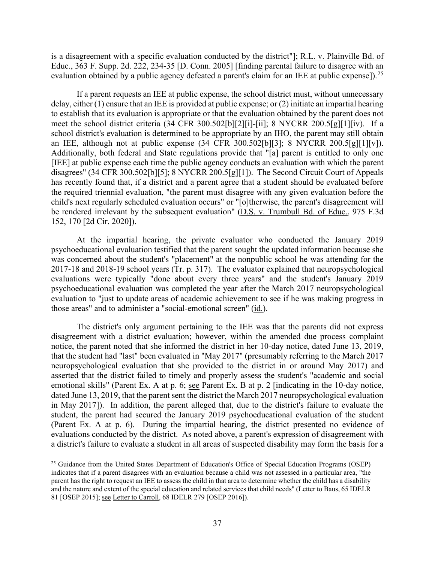evaluation obtained by a public agency defeated a parent's claim for an IEE at public expense]).<sup>25</sup> is a disagreement with a specific evaluation conducted by the district"]; R.L. v. Plainville Bd. of Educ., 363 F. Supp. 2d. 222, 234-35 [D. Conn. 2005] [finding parental failure to disagree with an

 meet the school district criteria (34 CFR 300.502[b][2][i]-[ii]; 8 NYCRR 200.5[g][1][iv). If a disagrees" (34 CFR 300.502[b][5]; 8 NYCRR 200.5[g][1]). The Second Circuit Court of Appeals 152, 170 [2d Cir. 2020]). If a parent requests an IEE at public expense, the school district must, without unnecessary delay, either (1) ensure that an IEE is provided at public expense; or (2) initiate an impartial hearing to establish that its evaluation is appropriate or that the evaluation obtained by the parent does not school district's evaluation is determined to be appropriate by an IHO, the parent may still obtain an IEE, although not at public expense (34 CFR 300.502[b][3]; 8 NYCRR 200.5[g][1][v]). Additionally, both federal and State regulations provide that "[a] parent is entitled to only one [IEE] at public expense each time the public agency conducts an evaluation with which the parent has recently found that, if a district and a parent agree that a student should be evaluated before the required triennial evaluation, "the parent must disagree with any given evaluation before the child's next regularly scheduled evaluation occurs" or "[o]therwise, the parent's disagreement will be rendered irrelevant by the subsequent evaluation" (D.S. v. Trumbull Bd. of Educ., 975 F.3d

 psychoeducational evaluation testified that the parent sought the updated information because she those areas" and to administer a "social-emotional screen" (id.). At the impartial hearing, the private evaluator who conducted the January 2019 was concerned about the student's "placement" at the nonpublic school he was attending for the 2017-18 and 2018-19 school years (Tr. p. 317). The evaluator explained that neuropsychological evaluations were typically "done about every three years" and the student's January 2019 psychoeducational evaluation was completed the year after the March 2017 neuropsychological evaluation to "just to update areas of academic achievement to see if he was making progress in

 asserted that the district failed to timely and properly assess the student's "academic and social in May 2017]). In addition, the parent alleged that, due to the district's failure to evaluate the (Parent Ex. A at p. 6). During the impartial hearing, the district presented no evidence of a district's failure to evaluate a student in all areas of suspected disability may form the basis for a The district's only argument pertaining to the IEE was that the parents did not express disagreement with a district evaluation; however, within the amended due process complaint notice, the parent noted that she informed the district in her 10-day notice, dated June 13, 2019, that the student had "last" been evaluated in "May 2017" (presumably referring to the March 2017 neuropsychological evaluation that she provided to the district in or around May 2017) and emotional skills" (Parent Ex. A at p. 6; see Parent Ex. B at p. 2 [indicating in the 10-day notice, dated June 13, 2019, that the parent sent the district the March 2017 neuropsychological evaluation student, the parent had secured the January 2019 psychoeducational evaluation of the student evaluations conducted by the district. As noted above, a parent's expression of disagreement with

<span id="page-36-0"></span><sup>&</sup>lt;sup>25</sup> Guidance from the United States Department of Education's Office of Special Education Programs (OSEP) indicates that if a parent disagrees with an evaluation because a child was not assessed in a particular area, "the parent has the right to request an IEE to assess the child in that area to determine whether the child has a disability and the nature and extent of the special education and related services that child needs" (Letter to Baus, 65 IDELR 81 [OSEP 2015]; see Letter to Carroll, 68 IDELR 279 [OSEP 2016]).